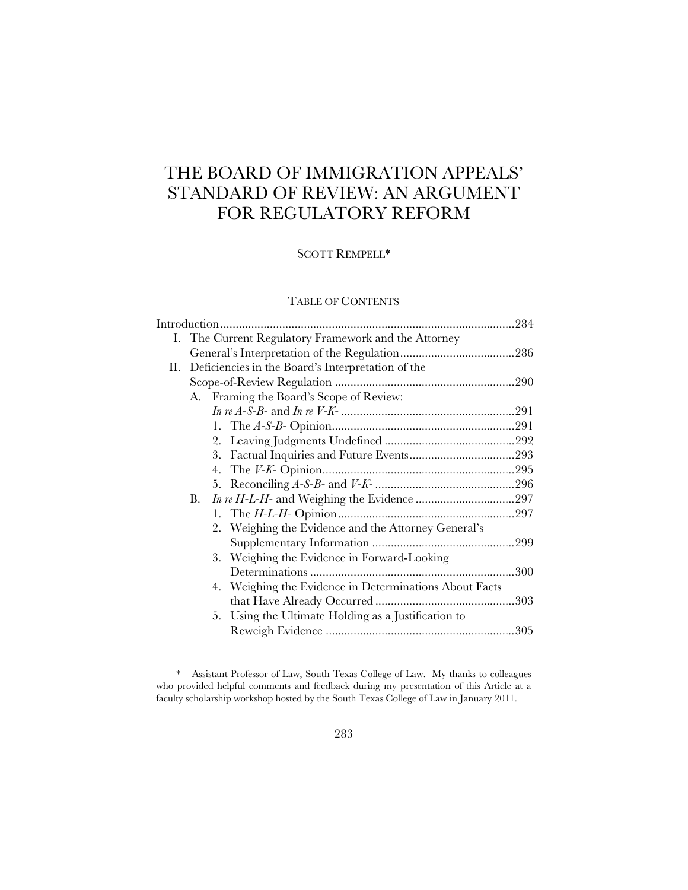# THE BOARD OF IMMIGRATION APPEALS' STANDARD OF REVIEW: AN ARGUMENT FOR REGULATORY REFORM

# SCOTT REMPELL\*

# TABLE OF CONTENTS

|    | I. The Current Regulatory Framework and the Attorney |                                                        |  |  |
|----|------------------------------------------------------|--------------------------------------------------------|--|--|
|    |                                                      |                                                        |  |  |
| П. | Deficiencies in the Board's Interpretation of the    |                                                        |  |  |
|    |                                                      |                                                        |  |  |
|    |                                                      | A. Framing the Board's Scope of Review:                |  |  |
|    |                                                      |                                                        |  |  |
|    |                                                      |                                                        |  |  |
|    |                                                      |                                                        |  |  |
|    |                                                      |                                                        |  |  |
|    |                                                      |                                                        |  |  |
|    |                                                      |                                                        |  |  |
|    | В.                                                   |                                                        |  |  |
|    |                                                      |                                                        |  |  |
|    |                                                      | 2. Weighing the Evidence and the Attorney General's    |  |  |
|    |                                                      |                                                        |  |  |
|    |                                                      | 3. Weighing the Evidence in Forward-Looking            |  |  |
|    |                                                      |                                                        |  |  |
|    |                                                      | 4. Weighing the Evidence in Determinations About Facts |  |  |
|    |                                                      |                                                        |  |  |
|    |                                                      | 5. Using the Ultimate Holding as a Justification to    |  |  |
|    |                                                      |                                                        |  |  |
|    |                                                      |                                                        |  |  |

<sup>\*</sup> Assistant Professor of Law, South Texas College of Law. My thanks to colleagues who provided helpful comments and feedback during my presentation of this Article at a faculty scholarship workshop hosted by the South Texas College of Law in January 2011.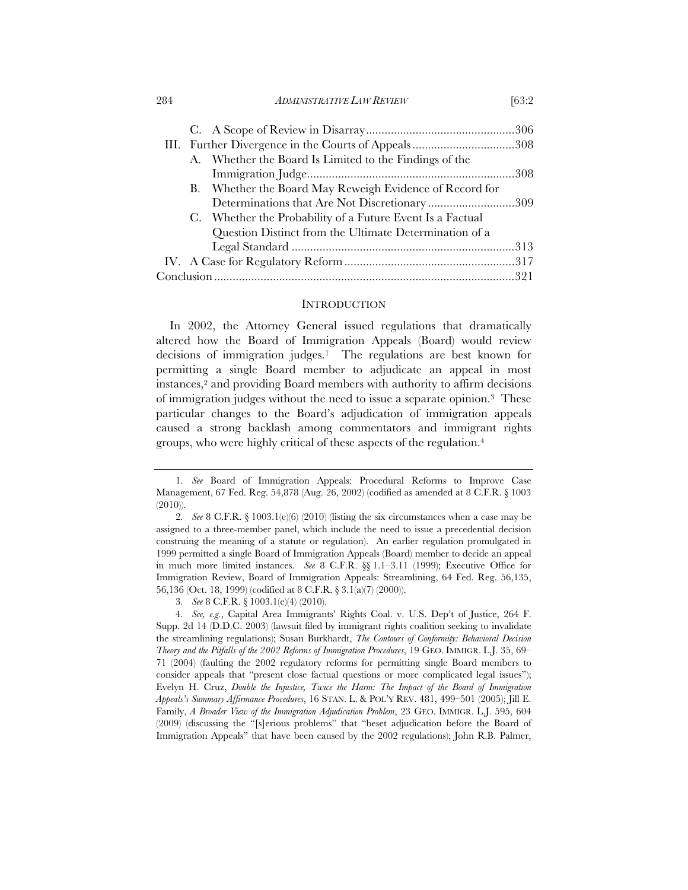#### 284 *ADMINISTRATIVE LAW REVIEW* [63:2

|  | III. Further Divergence in the Courts of Appeals308       |  |
|--|-----------------------------------------------------------|--|
|  | A. Whether the Board Is Limited to the Findings of the    |  |
|  |                                                           |  |
|  | B. Whether the Board May Reweigh Evidence of Record for   |  |
|  | Determinations that Are Not Discretionary309              |  |
|  | C. Whether the Probability of a Future Event Is a Factual |  |
|  | Question Distinct from the Ultimate Determination of a    |  |
|  |                                                           |  |
|  |                                                           |  |
|  |                                                           |  |

#### **INTRODUCTION**

In 2002, the Attorney General issued regulations that dramatically altered how the Board of Immigration Appeals (Board) would review decisions of immigration judges.1 The regulations are best known for permitting a single Board member to adjudicate an appeal in most instances,2 and providing Board members with authority to affirm decisions of immigration judges without the need to issue a separate opinion.3 These particular changes to the Board's adjudication of immigration appeals caused a strong backlash among commentators and immigrant rights groups, who were highly critical of these aspects of the regulation.4

3*. See* 8 C.F.R. § 1003.1(e)(4) (2010).

<sup>1</sup>*. See* Board of Immigration Appeals: Procedural Reforms to Improve Case Management, 67 Fed. Reg. 54,878 (Aug. 26, 2002) (codified as amended at 8 C.F.R. § 1003 (2010)).

<sup>2</sup>*. See* 8 C.F.R. § 1003.1(e)(6) (2010) (listing the six circumstances when a case may be assigned to a three-member panel, which include the need to issue a precedential decision construing the meaning of a statute or regulation). An earlier regulation promulgated in 1999 permitted a single Board of Immigration Appeals (Board) member to decide an appeal in much more limited instances. *See* 8 C.F.R. §§ 1.1–3.11 (1999); Executive Office for Immigration Review, Board of Immigration Appeals: Streamlining, 64 Fed. Reg. 56,135, 56,136 (Oct. 18, 1999) (codified at 8 C.F.R. § 3.1(a)(7) (2000)).

<sup>4</sup>*. See, e.g.*, Capital Area Immigrants' Rights Coal. v. U.S. Dep't of Justice, 264 F. Supp. 2d 14 (D.D.C. 2003) (lawsuit filed by immigrant rights coalition seeking to invalidate the streamlining regulations); Susan Burkhardt, *The Contours of Conformity: Behavioral Decision Theory and the Pitfalls of the 2002 Reforms of Immigration Procedures*, 19 GEO. IMMIGR. L.J. 35, 69– 71 (2004) (faulting the 2002 regulatory reforms for permitting single Board members to consider appeals that "present close factual questions or more complicated legal issues"); Evelyn H. Cruz, *Double the Injustice, Twice the Harm: The Impact of the Board of Immigration Appeals's Summary Affirmance Procedures*, 16 STAN. L. & POL'Y REV. 481, 499–501 (2005); Jill E. Family, *A Broader View of the Immigration Adjudication Problem*, 23 GEO. IMMIGR. L.J. 595, 604 (2009) (discussing the "[s]erious problems" that "beset adjudication before the Board of Immigration Appeals" that have been caused by the 2002 regulations); John R.B. Palmer,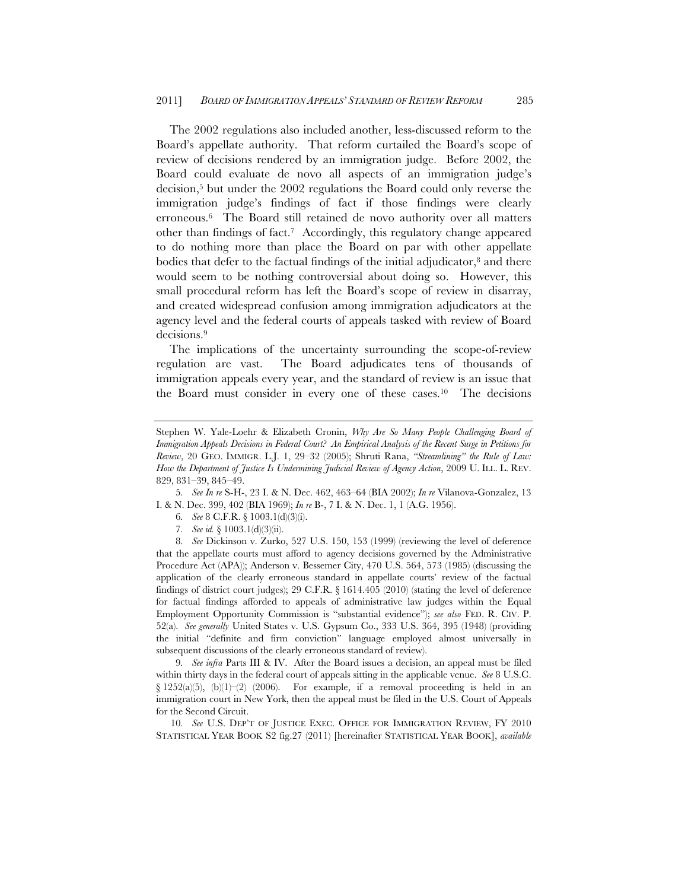The 2002 regulations also included another, less-discussed reform to the Board's appellate authority. That reform curtailed the Board's scope of review of decisions rendered by an immigration judge. Before 2002, the Board could evaluate de novo all aspects of an immigration judge's decision,5 but under the 2002 regulations the Board could only reverse the immigration judge's findings of fact if those findings were clearly erroneous.6 The Board still retained de novo authority over all matters other than findings of fact.7 Accordingly, this regulatory change appeared to do nothing more than place the Board on par with other appellate bodies that defer to the factual findings of the initial adjudicator, $\delta$  and there would seem to be nothing controversial about doing so. However, this small procedural reform has left the Board's scope of review in disarray, and created widespread confusion among immigration adjudicators at the agency level and the federal courts of appeals tasked with review of Board decisions.9

The implications of the uncertainty surrounding the scope-of-review regulation are vast. The Board adjudicates tens of thousands of immigration appeals every year, and the standard of review is an issue that the Board must consider in every one of these cases.10 The decisions

5*. See In re* S-H-, 23 I. & N. Dec. 462, 463–64 (BIA 2002); *In re* Vilanova-Gonzalez, 13 I. & N. Dec. 399, 402 (BIA 1969); *In re* B-, 7 I. & N. Dec. 1, 1 (A.G. 1956).

- 6*. See* 8 C.F.R. § 1003.1(d)(3)(i).
- 7*. See id.* § 1003.1(d)(3)(ii).

8*. See* Dickinson v. Zurko, 527 U.S. 150, 153 (1999) (reviewing the level of deference that the appellate courts must afford to agency decisions governed by the Administrative Procedure Act (APA)); Anderson v. Bessemer City, 470 U.S. 564, 573 (1985) (discussing the application of the clearly erroneous standard in appellate courts' review of the factual findings of district court judges); 29 C.F.R. § 1614.405 (2010) (stating the level of deference for factual findings afforded to appeals of administrative law judges within the Equal Employment Opportunity Commission is "substantial evidence"); *see also* FED. R. CIV. P. 52(a). *See generally* United States v. U.S. Gypsum Co., 333 U.S. 364, 395 (1948) (providing the initial "definite and firm conviction" language employed almost universally in subsequent discussions of the clearly erroneous standard of review).

9*. See infra* Parts III & IV. After the Board issues a decision, an appeal must be filed within thirty days in the federal court of appeals sitting in the applicable venue. *See* 8 U.S.C.  $\S 1252(a)(5)$ ,  $(b)(1)-(2)$  (2006). For example, if a removal proceeding is held in an immigration court in New York, then the appeal must be filed in the U.S. Court of Appeals for the Second Circuit.

10*. See* U.S. DEP'T OF JUSTICE EXEC. OFFICE FOR IMMIGRATION REVIEW, FY 2010 STATISTICAL YEAR BOOK S2 fig.27 (2011) [hereinafter STATISTICAL YEAR BOOK], *available* 

Stephen W. Yale-Loehr & Elizabeth Cronin, *Why Are So Many People Challenging Board of Immigration Appeals Decisions in Federal Court? An Empirical Analysis of the Recent Surge in Petitions for Review*, 20 GEO. IMMIGR. L.J. 1, 29–32 (2005); Shruti Rana, *"Streamlining" the Rule of Law: How the Department of Justice Is Undermining Judicial Review of Agency Action*, 2009 U. ILL. L. REV. 829, 831–39, 845–49.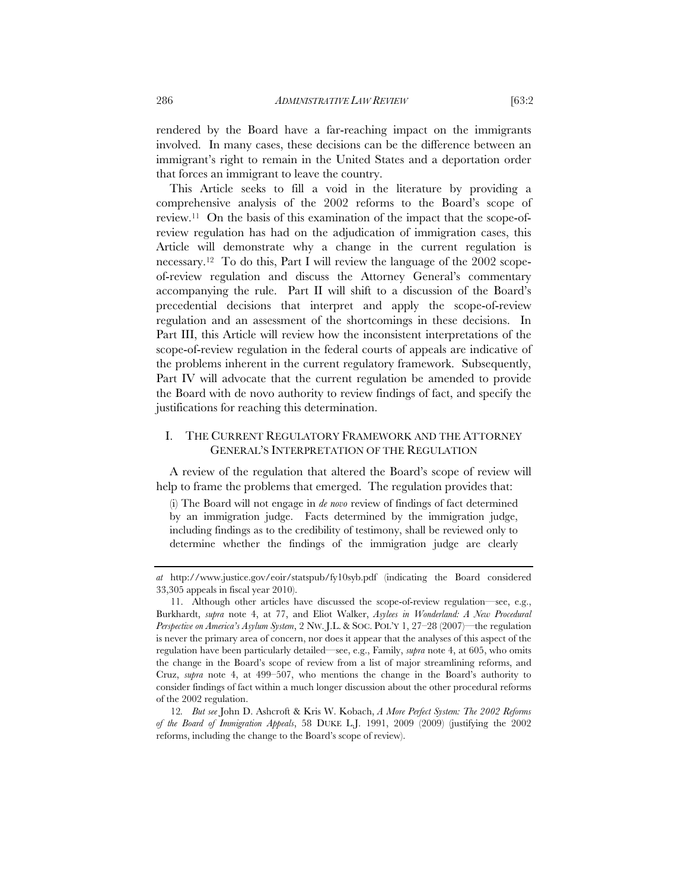rendered by the Board have a far-reaching impact on the immigrants involved. In many cases, these decisions can be the difference between an immigrant's right to remain in the United States and a deportation order that forces an immigrant to leave the country.

This Article seeks to fill a void in the literature by providing a comprehensive analysis of the 2002 reforms to the Board's scope of review.<sup>11</sup> On the basis of this examination of the impact that the scope-ofreview regulation has had on the adjudication of immigration cases, this Article will demonstrate why a change in the current regulation is necessary.12 To do this, Part I will review the language of the 2002 scopeof-review regulation and discuss the Attorney General's commentary accompanying the rule. Part II will shift to a discussion of the Board's precedential decisions that interpret and apply the scope-of-review regulation and an assessment of the shortcomings in these decisions. In Part III, this Article will review how the inconsistent interpretations of the scope-of-review regulation in the federal courts of appeals are indicative of the problems inherent in the current regulatory framework. Subsequently, Part IV will advocate that the current regulation be amended to provide the Board with de novo authority to review findings of fact, and specify the justifications for reaching this determination.

# I. THE CURRENT REGULATORY FRAMEWORK AND THE ATTORNEY GENERAL'S INTERPRETATION OF THE REGULATION

A review of the regulation that altered the Board's scope of review will help to frame the problems that emerged. The regulation provides that:

(i) The Board will not engage in *de novo* review of findings of fact determined by an immigration judge. Facts determined by the immigration judge, including findings as to the credibility of testimony, shall be reviewed only to determine whether the findings of the immigration judge are clearly

*at* http://www.justice.gov/eoir/statspub/fy10syb.pdf (indicating the Board considered 33,305 appeals in fiscal year 2010).

<sup>11.</sup> Although other articles have discussed the scope-of-review regulation—see, e.g., Burkhardt, *supra* note 4, at 77, and Eliot Walker, *Asylees in Wonderland: A New Procedural Perspective on America's Asylum System*, 2 NW. J.L. & SOC. POL'Y 1, 27–28 (2007)—the regulation is never the primary area of concern, nor does it appear that the analyses of this aspect of the regulation have been particularly detailed—see, e.g., Family, *supra* note 4, at 605, who omits the change in the Board's scope of review from a list of major streamlining reforms, and Cruz, *supra* note 4, at 499–507, who mentions the change in the Board's authority to consider findings of fact within a much longer discussion about the other procedural reforms of the 2002 regulation.

<sup>12</sup>*. But see* John D. Ashcroft & Kris W. Kobach, *A More Perfect System: The 2002 Reforms of the Board of Immigration Appeals*, 58 DUKE L.J. 1991, 2009 (2009) (justifying the 2002 reforms, including the change to the Board's scope of review).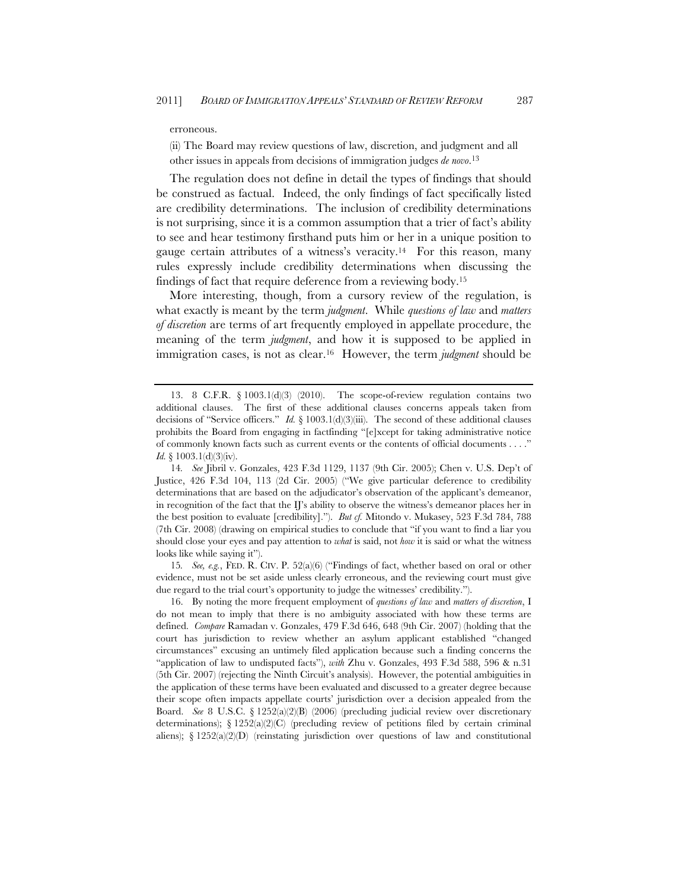#### erroneous.

(ii) The Board may review questions of law, discretion, and judgment and all other issues in appeals from decisions of immigration judges *de novo*. 13

The regulation does not define in detail the types of findings that should be construed as factual. Indeed, the only findings of fact specifically listed are credibility determinations. The inclusion of credibility determinations is not surprising, since it is a common assumption that a trier of fact's ability to see and hear testimony firsthand puts him or her in a unique position to gauge certain attributes of a witness's veracity.14 For this reason, many rules expressly include credibility determinations when discussing the findings of fact that require deference from a reviewing body.15

More interesting, though, from a cursory review of the regulation, is what exactly is meant by the term *judgment*. While *questions of law* and *matters of discretion* are terms of art frequently employed in appellate procedure, the meaning of the term *judgment*, and how it is supposed to be applied in immigration cases, is not as clear.16 However, the term *judgment* should be

15*. See, e.g.*, FED. R. CIV. P. 52(a)(6) ("Findings of fact, whether based on oral or other evidence, must not be set aside unless clearly erroneous, and the reviewing court must give due regard to the trial court's opportunity to judge the witnesses' credibility.").

16. By noting the more frequent employment of *questions of law* and *matters of discretion*, I do not mean to imply that there is no ambiguity associated with how these terms are defined. *Compare* Ramadan v. Gonzales, 479 F.3d 646, 648 (9th Cir. 2007) (holding that the court has jurisdiction to review whether an asylum applicant established "changed circumstances" excusing an untimely filed application because such a finding concerns the "application of law to undisputed facts"), *with* Zhu v. Gonzales, 493 F.3d 588, 596 & n.31 (5th Cir. 2007) (rejecting the Ninth Circuit's analysis). However, the potential ambiguities in the application of these terms have been evaluated and discussed to a greater degree because their scope often impacts appellate courts' jurisdiction over a decision appealed from the Board. *See* 8 U.S.C. § 1252(a)(2)(B) (2006) (precluding judicial review over discretionary determinations);  $\S 1252(a)(2)(C)$  (precluding review of petitions filed by certain criminal aliens);  $\S 1252(a)(2)(D)$  (reinstating jurisdiction over questions of law and constitutional

<sup>13. 8</sup> C.F.R. § 1003.1(d)(3) (2010). The scope-of-review regulation contains two additional clauses. The first of these additional clauses concerns appeals taken from decisions of "Service officers." *Id.* § 1003.1(d)(3)(iii). The second of these additional clauses prohibits the Board from engaging in factfinding "[e]xcept for taking administrative notice of commonly known facts such as current events or the contents of official documents . . . ." *Id.* § 1003.1(d)(3)(iv).

<sup>14</sup>*. See* Jibril v. Gonzales, 423 F.3d 1129, 1137 (9th Cir. 2005); Chen v. U.S. Dep't of Justice, 426 F.3d 104, 113 (2d Cir. 2005) ("We give particular deference to credibility determinations that are based on the adjudicator's observation of the applicant's demeanor, in recognition of the fact that the IJ's ability to observe the witness's demeanor places her in the best position to evaluate [credibility]."). *But cf.* Mitondo v. Mukasey, 523 F.3d 784, 788 (7th Cir. 2008) (drawing on empirical studies to conclude that "if you want to find a liar you should close your eyes and pay attention to *what* is said, not *how* it is said or what the witness looks like while saying it").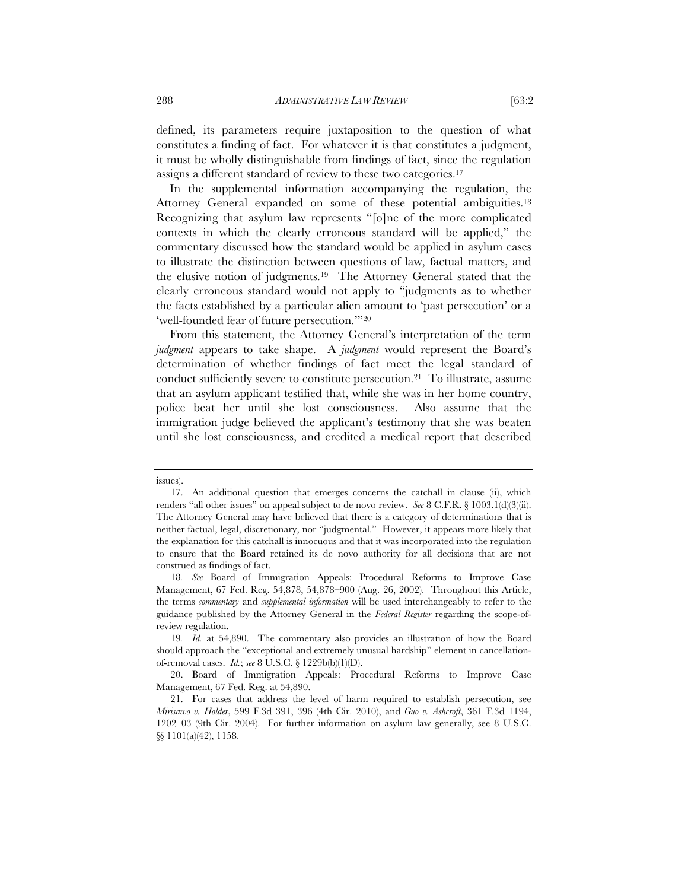defined, its parameters require juxtaposition to the question of what constitutes a finding of fact. For whatever it is that constitutes a judgment, it must be wholly distinguishable from findings of fact, since the regulation assigns a different standard of review to these two categories.17

In the supplemental information accompanying the regulation, the Attorney General expanded on some of these potential ambiguities.18 Recognizing that asylum law represents "[o]ne of the more complicated contexts in which the clearly erroneous standard will be applied," the commentary discussed how the standard would be applied in asylum cases to illustrate the distinction between questions of law, factual matters, and the elusive notion of judgments.19 The Attorney General stated that the clearly erroneous standard would not apply to "judgments as to whether the facts established by a particular alien amount to 'past persecution' or a 'well-founded fear of future persecution.'"20

From this statement, the Attorney General's interpretation of the term *judgment* appears to take shape. A *judgment* would represent the Board's determination of whether findings of fact meet the legal standard of conduct sufficiently severe to constitute persecution.21 To illustrate, assume that an asylum applicant testified that, while she was in her home country, police beat her until she lost consciousness. Also assume that the immigration judge believed the applicant's testimony that she was beaten until she lost consciousness, and credited a medical report that described

issues).

<sup>17.</sup> An additional question that emerges concerns the catchall in clause (ii), which renders "all other issues" on appeal subject to de novo review. *See* 8 C.F.R. § 1003.1(d)(3)(ii). The Attorney General may have believed that there is a category of determinations that is neither factual, legal, discretionary, nor "judgmental." However, it appears more likely that the explanation for this catchall is innocuous and that it was incorporated into the regulation to ensure that the Board retained its de novo authority for all decisions that are not construed as findings of fact.

<sup>18</sup>*. See* Board of Immigration Appeals: Procedural Reforms to Improve Case Management, 67 Fed. Reg. 54,878, 54,878–900 (Aug. 26, 2002). Throughout this Article, the terms *commentary* and *supplemental information* will be used interchangeably to refer to the guidance published by the Attorney General in the *Federal Register* regarding the scope-ofreview regulation.

<sup>19</sup>*. Id.* at 54,890. The commentary also provides an illustration of how the Board should approach the "exceptional and extremely unusual hardship" element in cancellationof-removal cases. *Id.*; *see* 8 U.S.C. § 1229b(b)(1)(D).

<sup>20.</sup> Board of Immigration Appeals: Procedural Reforms to Improve Case Management, 67 Fed. Reg. at 54,890.

<sup>21.</sup> For cases that address the level of harm required to establish persecution, see *Mirisawo v. Holder*, 599 F.3d 391, 396 (4th Cir. 2010), and *Guo v. Ashcroft*, 361 F.3d 1194, 1202–03 (9th Cir. 2004). For further information on asylum law generally, see 8 U.S.C. §§ 1101(a)(42), 1158.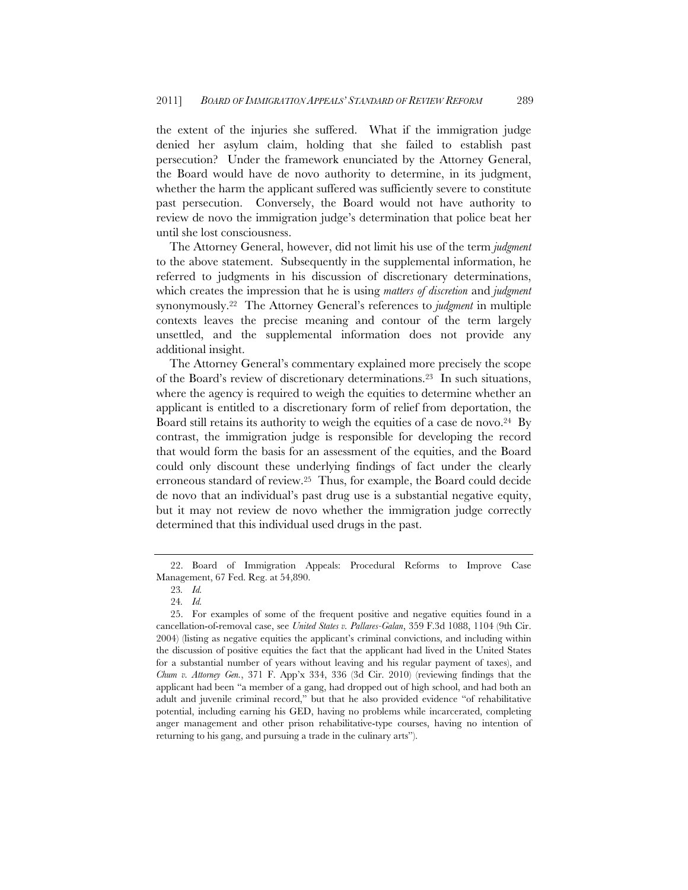the extent of the injuries she suffered. What if the immigration judge denied her asylum claim, holding that she failed to establish past persecution? Under the framework enunciated by the Attorney General, the Board would have de novo authority to determine, in its judgment, whether the harm the applicant suffered was sufficiently severe to constitute past persecution. Conversely, the Board would not have authority to review de novo the immigration judge's determination that police beat her until she lost consciousness.

The Attorney General, however, did not limit his use of the term *judgment* to the above statement. Subsequently in the supplemental information, he referred to judgments in his discussion of discretionary determinations, which creates the impression that he is using *matters of discretion* and *judgment* synonymously.22 The Attorney General's references to *judgment* in multiple contexts leaves the precise meaning and contour of the term largely unsettled, and the supplemental information does not provide any additional insight.

The Attorney General's commentary explained more precisely the scope of the Board's review of discretionary determinations.23 In such situations, where the agency is required to weigh the equities to determine whether an applicant is entitled to a discretionary form of relief from deportation, the Board still retains its authority to weigh the equities of a case de novo.<sup>24</sup> By contrast, the immigration judge is responsible for developing the record that would form the basis for an assessment of the equities, and the Board could only discount these underlying findings of fact under the clearly erroneous standard of review.25 Thus, for example, the Board could decide de novo that an individual's past drug use is a substantial negative equity, but it may not review de novo whether the immigration judge correctly determined that this individual used drugs in the past.

<sup>22.</sup> Board of Immigration Appeals: Procedural Reforms to Improve Case Management, 67 Fed. Reg. at 54,890.

<sup>23</sup>*. Id.*

<sup>24</sup>*. Id.*

<sup>25.</sup> For examples of some of the frequent positive and negative equities found in a cancellation-of-removal case, see *United States v. Pallares-Galan*, 359 F.3d 1088, 1104 (9th Cir. 2004) (listing as negative equities the applicant's criminal convictions, and including within the discussion of positive equities the fact that the applicant had lived in the United States for a substantial number of years without leaving and his regular payment of taxes), and *Chum v. Attorney Gen.*, 371 F. App'x 334, 336 (3d Cir. 2010) (reviewing findings that the applicant had been "a member of a gang, had dropped out of high school, and had both an adult and juvenile criminal record," but that he also provided evidence "of rehabilitative potential, including earning his GED, having no problems while incarcerated, completing anger management and other prison rehabilitative-type courses, having no intention of returning to his gang, and pursuing a trade in the culinary arts").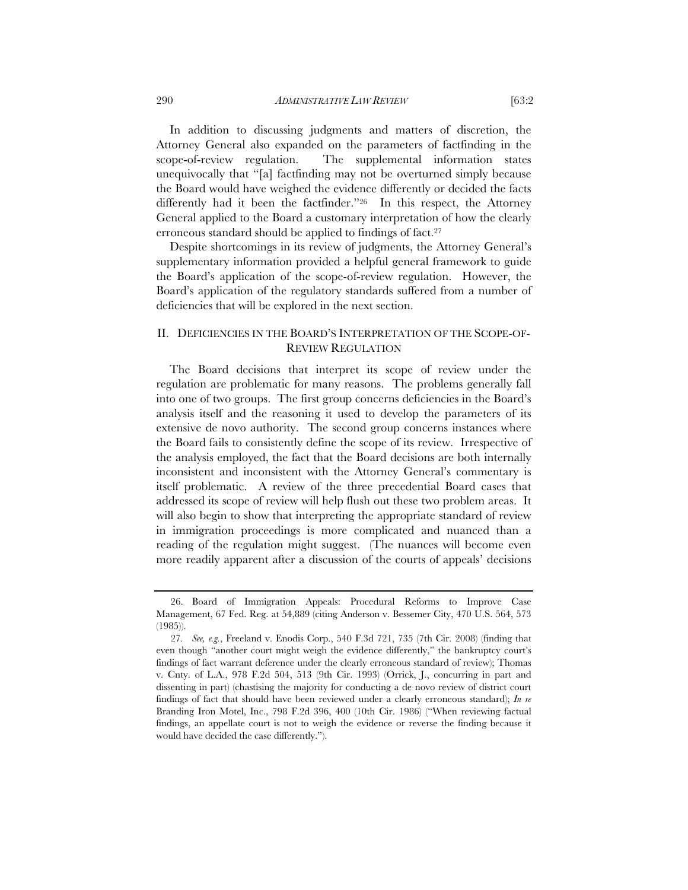In addition to discussing judgments and matters of discretion, the Attorney General also expanded on the parameters of factfinding in the scope-of-review regulation. The supplemental information states unequivocally that "[a] factfinding may not be overturned simply because the Board would have weighed the evidence differently or decided the facts differently had it been the factfinder."26 In this respect, the Attorney General applied to the Board a customary interpretation of how the clearly erroneous standard should be applied to findings of fact.<sup>27</sup>

Despite shortcomings in its review of judgments, the Attorney General's supplementary information provided a helpful general framework to guide the Board's application of the scope-of-review regulation. However, the Board's application of the regulatory standards suffered from a number of deficiencies that will be explored in the next section.

# II. DEFICIENCIES IN THE BOARD'S INTERPRETATION OF THE SCOPE-OF-REVIEW REGULATION

The Board decisions that interpret its scope of review under the regulation are problematic for many reasons. The problems generally fall into one of two groups. The first group concerns deficiencies in the Board's analysis itself and the reasoning it used to develop the parameters of its extensive de novo authority. The second group concerns instances where the Board fails to consistently define the scope of its review. Irrespective of the analysis employed, the fact that the Board decisions are both internally inconsistent and inconsistent with the Attorney General's commentary is itself problematic. A review of the three precedential Board cases that addressed its scope of review will help flush out these two problem areas. It will also begin to show that interpreting the appropriate standard of review in immigration proceedings is more complicated and nuanced than a reading of the regulation might suggest. (The nuances will become even more readily apparent after a discussion of the courts of appeals' decisions

<sup>26.</sup> Board of Immigration Appeals: Procedural Reforms to Improve Case Management, 67 Fed. Reg. at 54,889 (citing Anderson v. Bessemer City, 470 U.S. 564, 573 (1985)).

<sup>27</sup>*. See, e.g.*, Freeland v. Enodis Corp., 540 F.3d 721, 735 (7th Cir. 2008) (finding that even though "another court might weigh the evidence differently," the bankruptcy court's findings of fact warrant deference under the clearly erroneous standard of review); Thomas v. Cnty. of L.A., 978 F.2d 504, 513 (9th Cir. 1993) (Orrick, J., concurring in part and dissenting in part) (chastising the majority for conducting a de novo review of district court findings of fact that should have been reviewed under a clearly erroneous standard); *In re*  Branding Iron Motel, Inc., 798 F.2d 396, 400 (10th Cir. 1986) ("When reviewing factual findings, an appellate court is not to weigh the evidence or reverse the finding because it would have decided the case differently.").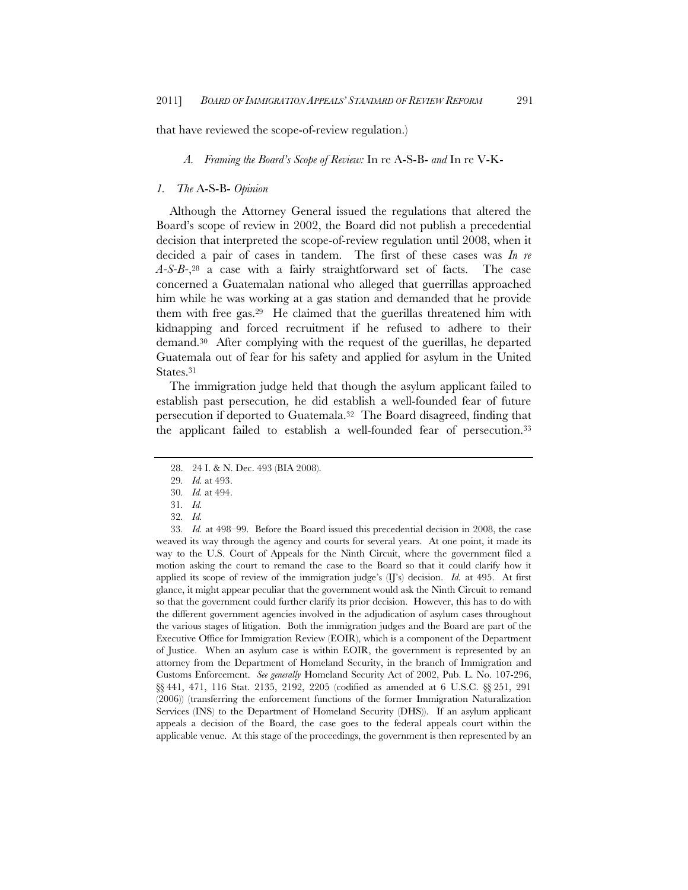that have reviewed the scope-of-review regulation.)

*A. Framing the Board's Scope of Review:* In re A-S-B- *and* In re V-K-

#### *1. The* A-S-B- *Opinion*

Although the Attorney General issued the regulations that altered the Board's scope of review in 2002, the Board did not publish a precedential decision that interpreted the scope-of-review regulation until 2008, when it decided a pair of cases in tandem. The first of these cases was *In re A-S-B-*,28 a case with a fairly straightforward set of facts. The case concerned a Guatemalan national who alleged that guerrillas approached him while he was working at a gas station and demanded that he provide them with free gas.29 He claimed that the guerillas threatened him with kidnapping and forced recruitment if he refused to adhere to their demand.30 After complying with the request of the guerillas, he departed Guatemala out of fear for his safety and applied for asylum in the United States.<sup>31</sup>

The immigration judge held that though the asylum applicant failed to establish past persecution, he did establish a well-founded fear of future persecution if deported to Guatemala.32 The Board disagreed, finding that the applicant failed to establish a well-founded fear of persecution.33

<sup>28. 24</sup> I. & N. Dec. 493 (BIA 2008).

<sup>29</sup>*. Id.* at 493.

<sup>30</sup>*. Id.* at 494.

<sup>31</sup>*. Id.*

<sup>32</sup>*. Id.*

<sup>33</sup>*. Id.* at 498–99. Before the Board issued this precedential decision in 2008, the case weaved its way through the agency and courts for several years. At one point, it made its way to the U.S. Court of Appeals for the Ninth Circuit, where the government filed a motion asking the court to remand the case to the Board so that it could clarify how it applied its scope of review of the immigration judge's (IJ's) decision. *Id.* at 495. At first glance, it might appear peculiar that the government would ask the Ninth Circuit to remand so that the government could further clarify its prior decision. However, this has to do with the different government agencies involved in the adjudication of asylum cases throughout the various stages of litigation. Both the immigration judges and the Board are part of the Executive Office for Immigration Review (EOIR), which is a component of the Department of Justice. When an asylum case is within EOIR, the government is represented by an attorney from the Department of Homeland Security, in the branch of Immigration and Customs Enforcement. *See generally* Homeland Security Act of 2002, Pub. L. No. 107-296, §§ 441, 471, 116 Stat. 2135, 2192, 2205 (codified as amended at 6 U.S.C. §§ 251, 291 (2006)) (transferring the enforcement functions of the former Immigration Naturalization Services (INS) to the Department of Homeland Security (DHS)). If an asylum applicant appeals a decision of the Board, the case goes to the federal appeals court within the applicable venue. At this stage of the proceedings, the government is then represented by an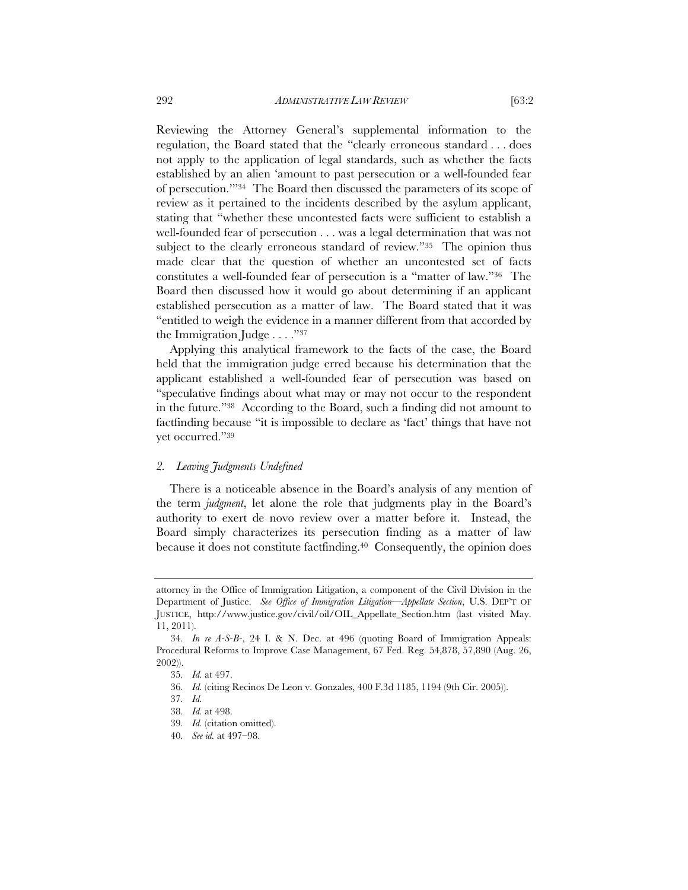Reviewing the Attorney General's supplemental information to the regulation, the Board stated that the "clearly erroneous standard . . . does not apply to the application of legal standards, such as whether the facts established by an alien 'amount to past persecution or a well-founded fear of persecution.'"34 The Board then discussed the parameters of its scope of review as it pertained to the incidents described by the asylum applicant, stating that "whether these uncontested facts were sufficient to establish a well-founded fear of persecution . . . was a legal determination that was not subject to the clearly erroneous standard of review."35 The opinion thus made clear that the question of whether an uncontested set of facts constitutes a well-founded fear of persecution is a "matter of law."36 The Board then discussed how it would go about determining if an applicant established persecution as a matter of law. The Board stated that it was "entitled to weigh the evidence in a manner different from that accorded by the Immigration Judge . . . ."37

Applying this analytical framework to the facts of the case, the Board held that the immigration judge erred because his determination that the applicant established a well-founded fear of persecution was based on "speculative findings about what may or may not occur to the respondent in the future."38 According to the Board, such a finding did not amount to factfinding because "it is impossible to declare as 'fact' things that have not yet occurred."39

## *2. Leaving Judgments Undefined*

There is a noticeable absence in the Board's analysis of any mention of the term *judgment*, let alone the role that judgments play in the Board's authority to exert de novo review over a matter before it. Instead, the Board simply characterizes its persecution finding as a matter of law because it does not constitute factfinding.40 Consequently, the opinion does

attorney in the Office of Immigration Litigation, a component of the Civil Division in the Department of Justice. *See Office of Immigration Litigation—Appellate Section*, U.S. DEP'T OF JUSTICE, http://www.justice.gov/civil/oil/OIL\_Appellate\_Section.htm (last visited May. 11, 2011).

<sup>34</sup>*. In re A-S-B-*, 24 I. & N. Dec. at 496 (quoting Board of Immigration Appeals: Procedural Reforms to Improve Case Management, 67 Fed. Reg. 54,878, 57,890 (Aug. 26, 2002)).

<sup>35</sup>*. Id.* at 497.

<sup>36</sup>*. Id.* (citing Recinos De Leon v. Gonzales, 400 F.3d 1185, 1194 (9th Cir. 2005)).

<sup>37</sup>*. Id.*

<sup>38</sup>*. Id.* at 498.

<sup>39</sup>*. Id.* (citation omitted).

<sup>40</sup>*. See id.* at 497–98.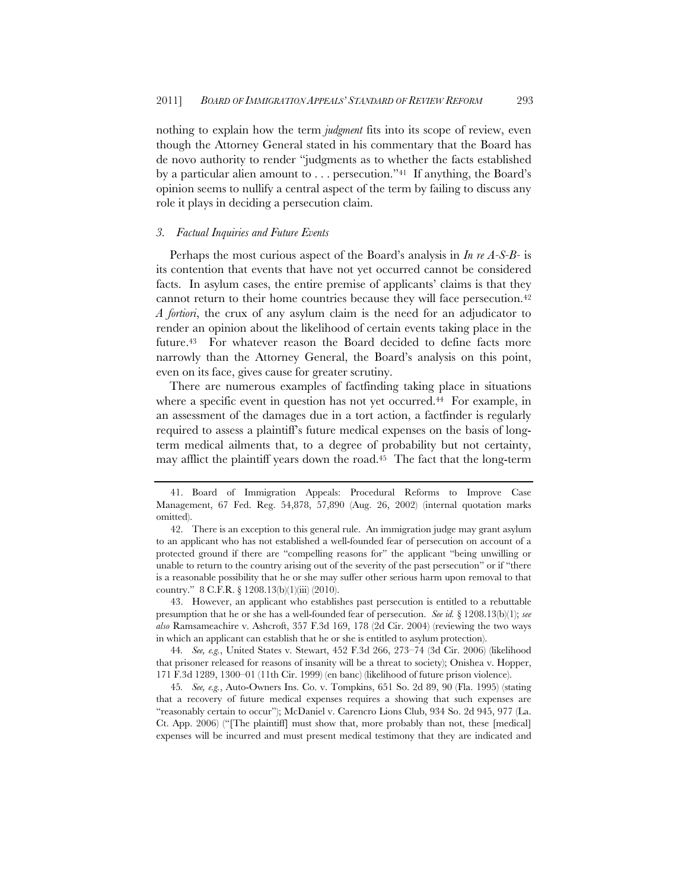nothing to explain how the term *judgment* fits into its scope of review, even though the Attorney General stated in his commentary that the Board has de novo authority to render "judgments as to whether the facts established by a particular alien amount to . . . persecution."41 If anything, the Board's opinion seems to nullify a central aspect of the term by failing to discuss any role it plays in deciding a persecution claim.

#### *3. Factual Inquiries and Future Events*

Perhaps the most curious aspect of the Board's analysis in *In re A-S-B-* is its contention that events that have not yet occurred cannot be considered facts. In asylum cases, the entire premise of applicants' claims is that they cannot return to their home countries because they will face persecution.42 *A fortiori*, the crux of any asylum claim is the need for an adjudicator to render an opinion about the likelihood of certain events taking place in the future.<sup>43</sup> For whatever reason the Board decided to define facts more narrowly than the Attorney General, the Board's analysis on this point, even on its face, gives cause for greater scrutiny.

There are numerous examples of factfinding taking place in situations where a specific event in question has not yet occurred.<sup>44</sup> For example, in an assessment of the damages due in a tort action, a factfinder is regularly required to assess a plaintiff's future medical expenses on the basis of longterm medical ailments that, to a degree of probability but not certainty, may afflict the plaintiff years down the road.45 The fact that the long-term

43. However, an applicant who establishes past persecution is entitled to a rebuttable presumption that he or she has a well-founded fear of persecution. *See id.* § 1208.13(b)(1); *see also* Ramsameachire v. Ashcroft, 357 F.3d 169, 178 (2d Cir. 2004) (reviewing the two ways in which an applicant can establish that he or she is entitled to asylum protection).

44*. See, e.g.*, United States v. Stewart, 452 F.3d 266, 273–74 (3d Cir. 2006) (likelihood that prisoner released for reasons of insanity will be a threat to society); Onishea v. Hopper, 171 F.3d 1289, 1300–01 (11th Cir. 1999) (en banc) (likelihood of future prison violence).

45*. See, e.g.*, Auto-Owners Ins. Co. v. Tompkins, 651 So. 2d 89, 90 (Fla. 1995) (stating that a recovery of future medical expenses requires a showing that such expenses are "reasonably certain to occur"); McDaniel v. Carencro Lions Club, 934 So. 2d 945, 977 (La. Ct. App. 2006) ("[The plaintiff] must show that, more probably than not, these [medical] expenses will be incurred and must present medical testimony that they are indicated and

<sup>41.</sup> Board of Immigration Appeals: Procedural Reforms to Improve Case Management, 67 Fed. Reg. 54,878, 57,890 (Aug. 26, 2002) (internal quotation marks omitted).

<sup>42.</sup> There is an exception to this general rule. An immigration judge may grant asylum to an applicant who has not established a well-founded fear of persecution on account of a protected ground if there are "compelling reasons for" the applicant "being unwilling or unable to return to the country arising out of the severity of the past persecution" or if "there is a reasonable possibility that he or she may suffer other serious harm upon removal to that country." 8 C.F.R. § 1208.13(b)(1)(iii) (2010).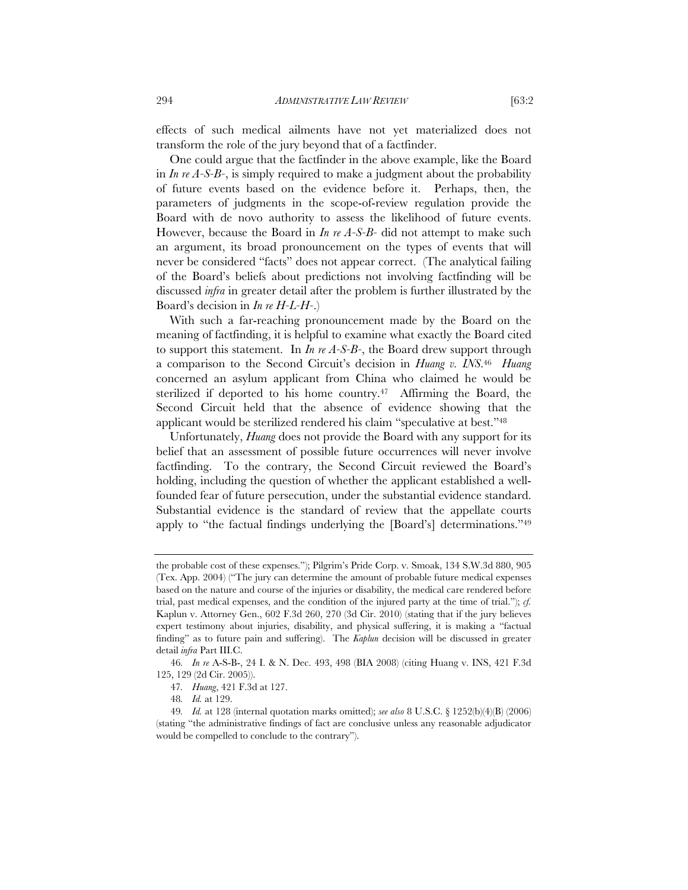effects of such medical ailments have not yet materialized does not transform the role of the jury beyond that of a factfinder.

One could argue that the factfinder in the above example, like the Board in *In re A-S-B-*, is simply required to make a judgment about the probability of future events based on the evidence before it. Perhaps, then, the parameters of judgments in the scope-of-review regulation provide the Board with de novo authority to assess the likelihood of future events. However, because the Board in *In re A-S-B-* did not attempt to make such an argument, its broad pronouncement on the types of events that will never be considered "facts" does not appear correct. (The analytical failing of the Board's beliefs about predictions not involving factfinding will be discussed *infra* in greater detail after the problem is further illustrated by the Board's decision in *In re H-L-H-*.)

With such a far-reaching pronouncement made by the Board on the meaning of factfinding, it is helpful to examine what exactly the Board cited to support this statement. In *In re A-S-B-*, the Board drew support through a comparison to the Second Circuit's decision in *Huang v. INS*.46 *Huang*  concerned an asylum applicant from China who claimed he would be sterilized if deported to his home country.<sup>47</sup> Affirming the Board, the Second Circuit held that the absence of evidence showing that the applicant would be sterilized rendered his claim "speculative at best."48

Unfortunately, *Huang* does not provide the Board with any support for its belief that an assessment of possible future occurrences will never involve factfinding. To the contrary, the Second Circuit reviewed the Board's holding, including the question of whether the applicant established a wellfounded fear of future persecution, under the substantial evidence standard. Substantial evidence is the standard of review that the appellate courts apply to "the factual findings underlying the [Board's] determinations."49

the probable cost of these expenses."); Pilgrim's Pride Corp. v. Smoak, 134 S.W.3d 880, 905 (Tex. App. 2004) ("The jury can determine the amount of probable future medical expenses based on the nature and course of the injuries or disability, the medical care rendered before trial, past medical expenses, and the condition of the injured party at the time of trial."); *cf.* Kaplun v. Attorney Gen., 602 F.3d 260, 270 (3d Cir. 2010) (stating that if the jury believes expert testimony about injuries, disability, and physical suffering, it is making a "factual finding" as to future pain and suffering). The *Kaplun* decision will be discussed in greater detail *infra* Part III.C.

<sup>46</sup>*. In re* A-S-B-, 24 I. & N. Dec. 493, 498 (BIA 2008) (citing Huang v. INS, 421 F.3d 125, 129 (2d Cir. 2005)).

<sup>47</sup>*. Huang*, 421 F.3d at 127.

<sup>48</sup>*. Id.* at 129.

<sup>49</sup>*. Id.* at 128 (internal quotation marks omitted); *see also* 8 U.S.C. § 1252(b)(4)(B) (2006) (stating "the administrative findings of fact are conclusive unless any reasonable adjudicator would be compelled to conclude to the contrary").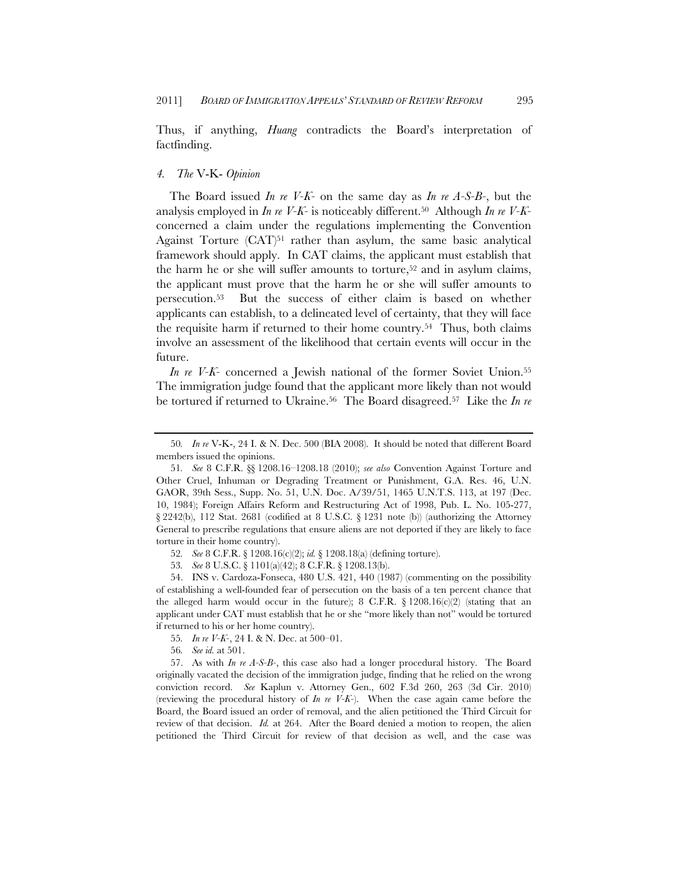Thus, if anything, *Huang* contradicts the Board's interpretation of factfinding.

## *4. The* V-K- *Opinion*

The Board issued *In re V-K-* on the same day as *In re A-S-B-*, but the analysis employed in *In re V-K-* is noticeably different.50 Although *In re V-K*concerned a claim under the regulations implementing the Convention Against Torture (CAT)<sup>51</sup> rather than asylum, the same basic analytical framework should apply. In CAT claims, the applicant must establish that the harm he or she will suffer amounts to torture,<sup>52</sup> and in asylum claims, the applicant must prove that the harm he or she will suffer amounts to persecution.53 But the success of either claim is based on whether applicants can establish, to a delineated level of certainty, that they will face the requisite harm if returned to their home country.54 Thus, both claims involve an assessment of the likelihood that certain events will occur in the future.

*In re V-K*- concerned a Jewish national of the former Soviet Union.<sup>55</sup> The immigration judge found that the applicant more likely than not would be tortured if returned to Ukraine.<sup>56</sup> The Board disagreed.<sup>57</sup> Like the *In re* 

<sup>50</sup>*. In re* V-K-, 24 I. & N. Dec. 500 (BIA 2008). It should be noted that different Board members issued the opinions.

<sup>51</sup>*. See* 8 C.F.R. §§ 1208.16–1208.18 (2010); *see also* Convention Against Torture and Other Cruel, Inhuman or Degrading Treatment or Punishment, G.A. Res. 46, U.N. GAOR, 39th Sess., Supp. No. 51, U.N. Doc. A/39/51, 1465 U.N.T.S. 113, at 197 (Dec. 10, 1984); Foreign Affairs Reform and Restructuring Act of 1998, Pub. L. No. 105-277, § 2242(b), 112 Stat. 2681 (codified at 8 U.S.C. § 1231 note (b)) (authorizing the Attorney General to prescribe regulations that ensure aliens are not deported if they are likely to face torture in their home country).

<sup>52</sup>*. See* 8 C.F.R. § 1208.16(c)(2); *id.* § 1208.18(a) (defining torture).

<sup>53</sup>*. See* 8 U.S.C. § 1101(a)(42); 8 C.F.R. § 1208.13(b).

<sup>54.</sup> INS v. Cardoza-Fonseca, 480 U.S. 421, 440 (1987) (commenting on the possibility of establishing a well-founded fear of persecution on the basis of a ten percent chance that the alleged harm would occur in the future); 8 C.F.R.  $\S$  1208.16(c)(2) (stating that an applicant under CAT must establish that he or she "more likely than not" would be tortured if returned to his or her home country).

<sup>55</sup>*. In re V-K-*, 24 I. & N. Dec. at 500–01.

<sup>56</sup>*. See id.* at 501.

<sup>57.</sup> As with *In re A-S-B-*, this case also had a longer procedural history. The Board originally vacated the decision of the immigration judge, finding that he relied on the wrong conviction record. *See* Kaplun v. Attorney Gen., 602 F.3d 260, 263 (3d Cir. 2010) (reviewing the procedural history of *In re V-K-*). When the case again came before the Board, the Board issued an order of removal, and the alien petitioned the Third Circuit for review of that decision. *Id.* at 264. After the Board denied a motion to reopen, the alien petitioned the Third Circuit for review of that decision as well, and the case was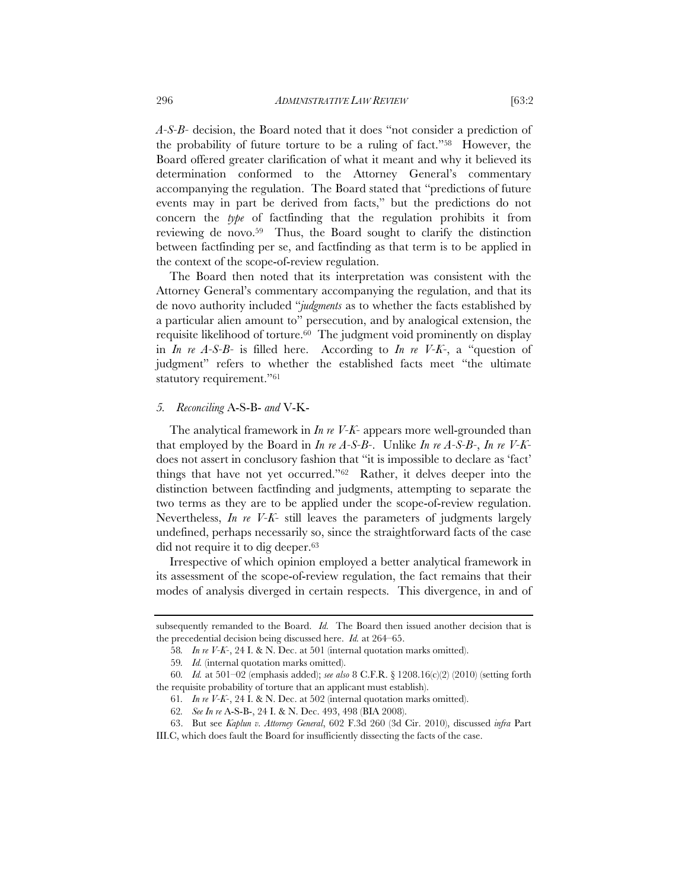*A-S-B-* decision, the Board noted that it does "not consider a prediction of the probability of future torture to be a ruling of fact."58 However, the Board offered greater clarification of what it meant and why it believed its determination conformed to the Attorney General's commentary accompanying the regulation. The Board stated that "predictions of future events may in part be derived from facts," but the predictions do not concern the *type* of factfinding that the regulation prohibits it from reviewing de novo.59 Thus, the Board sought to clarify the distinction between factfinding per se, and factfinding as that term is to be applied in the context of the scope-of-review regulation.

The Board then noted that its interpretation was consistent with the Attorney General's commentary accompanying the regulation, and that its de novo authority included "*judgments* as to whether the facts established by a particular alien amount to" persecution, and by analogical extension, the requisite likelihood of torture.<sup>60</sup> The judgment void prominently on display in *In re A-S-B-* is filled here. According to *In re V-K-*, a "question of judgment" refers to whether the established facts meet "the ultimate statutory requirement."61

#### *5. Reconciling* A-S-B- *and* V-K-

The analytical framework in *In re V-K-* appears more well-grounded than that employed by the Board in *In re A-S-B-*. Unlike *In re A-S-B-*, *In re V-K*does not assert in conclusory fashion that "it is impossible to declare as 'fact' things that have not yet occurred."62 Rather, it delves deeper into the distinction between factfinding and judgments, attempting to separate the two terms as they are to be applied under the scope-of-review regulation. Nevertheless, *In re V-K-* still leaves the parameters of judgments largely undefined, perhaps necessarily so, since the straightforward facts of the case did not require it to dig deeper.63

Irrespective of which opinion employed a better analytical framework in its assessment of the scope-of-review regulation, the fact remains that their modes of analysis diverged in certain respects. This divergence, in and of

subsequently remanded to the Board. *Id.* The Board then issued another decision that is the precedential decision being discussed here. *Id.* at 264–65.

<sup>58</sup>*. In re V-K-*, 24 I. & N. Dec. at 501 (internal quotation marks omitted).

<sup>59</sup>*. Id.* (internal quotation marks omitted).

<sup>60</sup>*. Id.* at 501–02 (emphasis added); *see also* 8 C.F.R. § 1208.16(c)(2) (2010) (setting forth the requisite probability of torture that an applicant must establish).

<sup>61</sup>*. In re V-K-*, 24 I. & N. Dec. at 502 (internal quotation marks omitted).

<sup>62</sup>*. See In re* A-S-B-, 24 I. & N. Dec. 493, 498 (BIA 2008).

<sup>63.</sup> But see *Kaplun v. Attorney General*, 602 F.3d 260 (3d Cir. 2010), discussed *infra* Part III.C, which does fault the Board for insufficiently dissecting the facts of the case.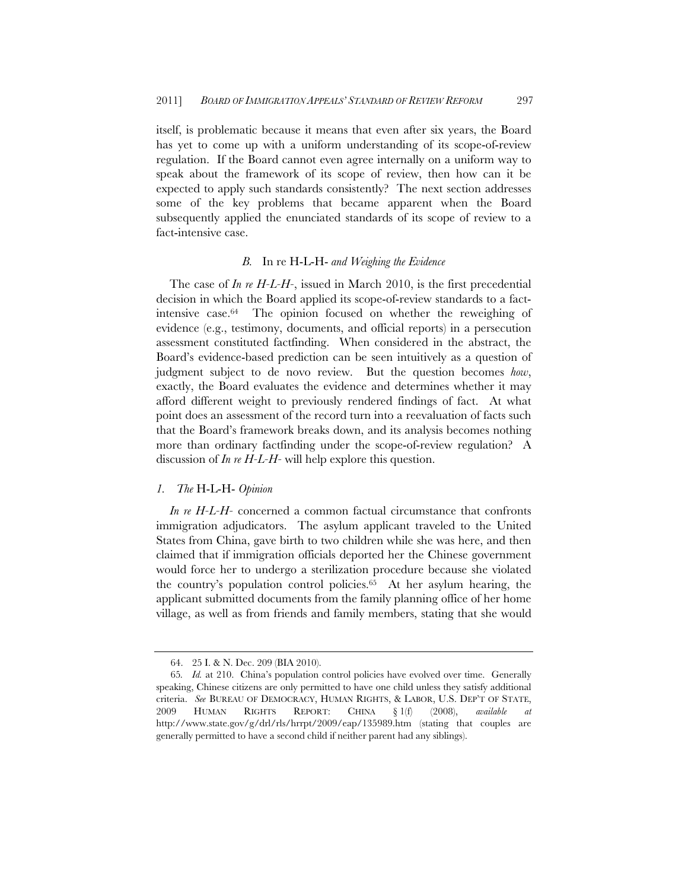itself, is problematic because it means that even after six years, the Board has yet to come up with a uniform understanding of its scope-of-review regulation. If the Board cannot even agree internally on a uniform way to speak about the framework of its scope of review, then how can it be expected to apply such standards consistently? The next section addresses some of the key problems that became apparent when the Board subsequently applied the enunciated standards of its scope of review to a fact-intensive case.

#### *B.* In re H-L-H- *and Weighing the Evidence*

The case of *In re H-L-H-*, issued in March 2010, is the first precedential decision in which the Board applied its scope-of-review standards to a factintensive case.64 The opinion focused on whether the reweighing of evidence (e.g., testimony, documents, and official reports) in a persecution assessment constituted factfinding. When considered in the abstract, the Board's evidence-based prediction can be seen intuitively as a question of judgment subject to de novo review. But the question becomes *how*, exactly, the Board evaluates the evidence and determines whether it may afford different weight to previously rendered findings of fact. At what point does an assessment of the record turn into a reevaluation of facts such that the Board's framework breaks down, and its analysis becomes nothing more than ordinary factfinding under the scope-of-review regulation? A discussion of *In re H-L-H-* will help explore this question.

## *1. The* H-L-H- *Opinion*

*In re H-L-H-* concerned a common factual circumstance that confronts immigration adjudicators. The asylum applicant traveled to the United States from China, gave birth to two children while she was here, and then claimed that if immigration officials deported her the Chinese government would force her to undergo a sterilization procedure because she violated the country's population control policies.65 At her asylum hearing, the applicant submitted documents from the family planning office of her home village, as well as from friends and family members, stating that she would

<sup>64. 25</sup> I. & N. Dec. 209 (BIA 2010).

<sup>65</sup>*. Id.* at 210. China's population control policies have evolved over time. Generally speaking, Chinese citizens are only permitted to have one child unless they satisfy additional criteria. *See* BUREAU OF DEMOCRACY, HUMAN RIGHTS, & LABOR, U.S. DEP'T OF STATE, 2009 HUMAN RIGHTS REPORT: CHINA § 1(f) (2008), *available at* http://www.state.gov/g/drl/rls/hrrpt/2009/eap/135989.htm (stating that couples are generally permitted to have a second child if neither parent had any siblings).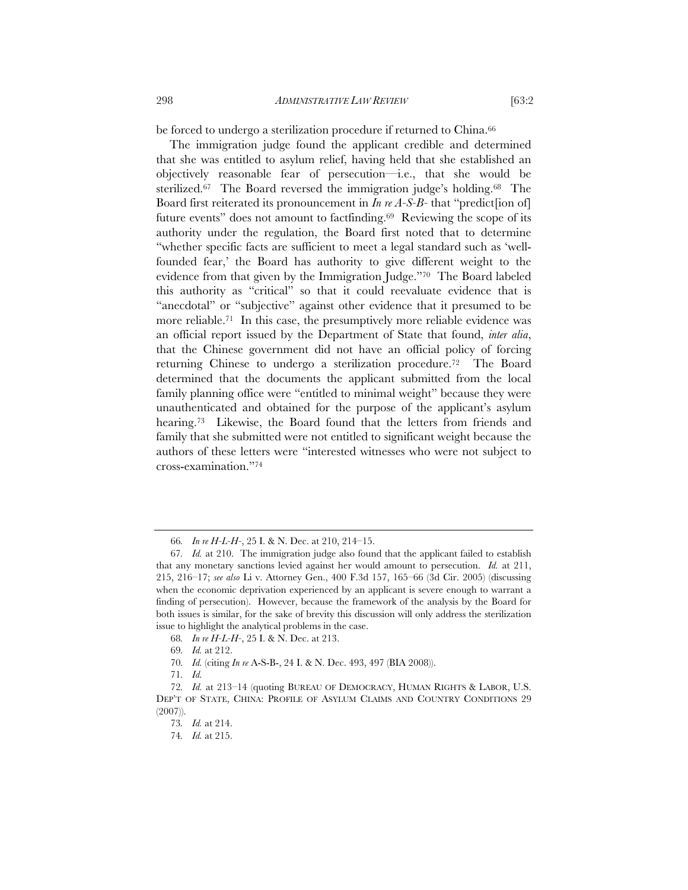be forced to undergo a sterilization procedure if returned to China.<sup>66</sup>

The immigration judge found the applicant credible and determined that she was entitled to asylum relief, having held that she established an objectively reasonable fear of persecution—i.e., that she would be sterilized.67 The Board reversed the immigration judge's holding.68 The Board first reiterated its pronouncement in *In re A-S-B-* that "predict[ion of] future events" does not amount to factfinding.<sup>69</sup> Reviewing the scope of its authority under the regulation, the Board first noted that to determine "whether specific facts are sufficient to meet a legal standard such as 'wellfounded fear,' the Board has authority to give different weight to the evidence from that given by the Immigration Judge."70 The Board labeled this authority as "critical" so that it could reevaluate evidence that is "anecdotal" or "subjective" against other evidence that it presumed to be more reliable.<sup>71</sup> In this case, the presumptively more reliable evidence was an official report issued by the Department of State that found, *inter alia*, that the Chinese government did not have an official policy of forcing returning Chinese to undergo a sterilization procedure.72 The Board determined that the documents the applicant submitted from the local family planning office were "entitled to minimal weight" because they were unauthenticated and obtained for the purpose of the applicant's asylum hearing.<sup>73</sup> Likewise, the Board found that the letters from friends and family that she submitted were not entitled to significant weight because the authors of these letters were "interested witnesses who were not subject to cross-examination."74

<sup>66</sup>*. In re H-L-H-*, 25 I. & N. Dec. at 210, 214–15.

<sup>67</sup>*. Id.* at 210. The immigration judge also found that the applicant failed to establish that any monetary sanctions levied against her would amount to persecution. *Id.* at 211, 215, 216–17; *see also* Li v. Attorney Gen., 400 F.3d 157, 165–66 (3d Cir. 2005) (discussing when the economic deprivation experienced by an applicant is severe enough to warrant a finding of persecution). However, because the framework of the analysis by the Board for both issues is similar, for the sake of brevity this discussion will only address the sterilization issue to highlight the analytical problems in the case.

<sup>68</sup>*. In re H-L-H-*, 25 I. & N. Dec. at 213.

<sup>69</sup>*. Id.* at 212.

<sup>70</sup>*. Id.* (citing *In re* A-S-B-, 24 I. & N. Dec. 493, 497 (BIA 2008)).

<sup>71</sup>*. Id.*

<sup>72</sup>*. Id.* at 213–14 (quoting BUREAU OF DEMOCRACY, HUMAN RIGHTS & LABOR, U.S. DEP'T OF STATE, CHINA: PROFILE OF ASYLUM CLAIMS AND COUNTRY CONDITIONS 29 (2007)).

<sup>73</sup>*. Id.* at 214.

<sup>74</sup>*. Id.* at 215.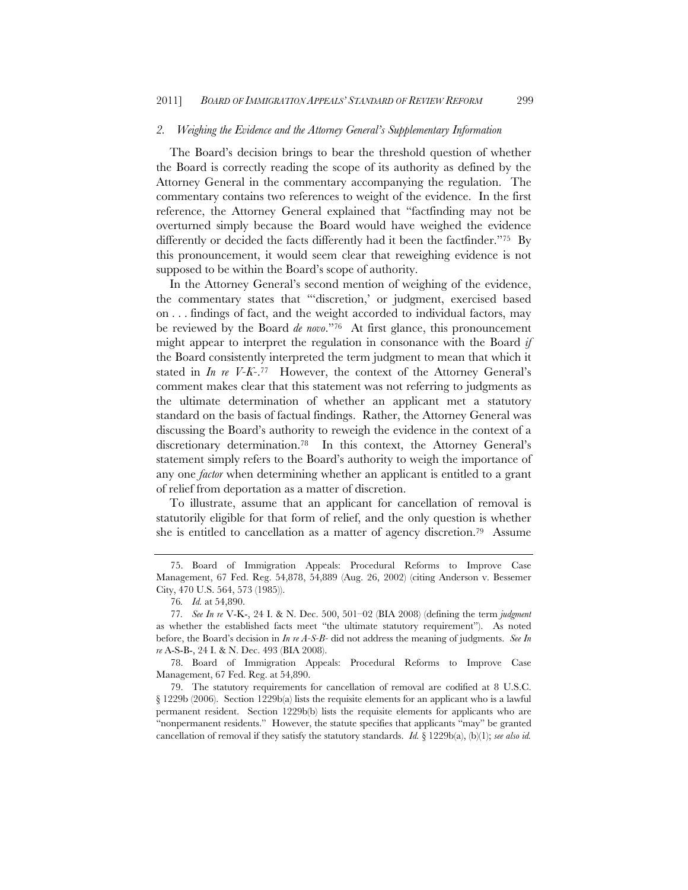#### *2. Weighing the Evidence and the Attorney General's Supplementary Information*

The Board's decision brings to bear the threshold question of whether the Board is correctly reading the scope of its authority as defined by the Attorney General in the commentary accompanying the regulation. The commentary contains two references to weight of the evidence. In the first reference, the Attorney General explained that "factfinding may not be overturned simply because the Board would have weighed the evidence differently or decided the facts differently had it been the factfinder."75 By this pronouncement, it would seem clear that reweighing evidence is not supposed to be within the Board's scope of authority.

In the Attorney General's second mention of weighing of the evidence, the commentary states that "'discretion,' or judgment, exercised based on . . . findings of fact, and the weight accorded to individual factors, may be reviewed by the Board *de novo*."76 At first glance, this pronouncement might appear to interpret the regulation in consonance with the Board *if* the Board consistently interpreted the term judgment to mean that which it stated in *In re V-K-*.77 However, the context of the Attorney General's comment makes clear that this statement was not referring to judgments as the ultimate determination of whether an applicant met a statutory standard on the basis of factual findings. Rather, the Attorney General was discussing the Board's authority to reweigh the evidence in the context of a discretionary determination.78 In this context, the Attorney General's statement simply refers to the Board's authority to weigh the importance of any one *factor* when determining whether an applicant is entitled to a grant of relief from deportation as a matter of discretion.

To illustrate, assume that an applicant for cancellation of removal is statutorily eligible for that form of relief, and the only question is whether she is entitled to cancellation as a matter of agency discretion.79 Assume

78. Board of Immigration Appeals: Procedural Reforms to Improve Case Management, 67 Fed. Reg. at 54,890.

79. The statutory requirements for cancellation of removal are codified at 8 U.S.C. § 1229b (2006). Section 1229b(a) lists the requisite elements for an applicant who is a lawful permanent resident. Section 1229b(b) lists the requisite elements for applicants who are "nonpermanent residents." However, the statute specifies that applicants "may" be granted cancellation of removal if they satisfy the statutory standards. *Id.* § 1229b(a), (b)(1); *see also id.* 

<sup>75.</sup> Board of Immigration Appeals: Procedural Reforms to Improve Case Management, 67 Fed. Reg. 54,878, 54,889 (Aug. 26, 2002) (citing Anderson v. Bessemer City, 470 U.S. 564, 573 (1985)).

<sup>76</sup>*. Id.* at 54,890.

<sup>77</sup>*. See In re* V-K-, 24 I. & N. Dec. 500, 501–02 (BIA 2008) (defining the term *judgment* as whether the established facts meet "the ultimate statutory requirement"). As noted before, the Board's decision in *In re A-S-B-* did not address the meaning of judgments. *See In re* A-S-B-, 24 I. & N. Dec. 493 (BIA 2008).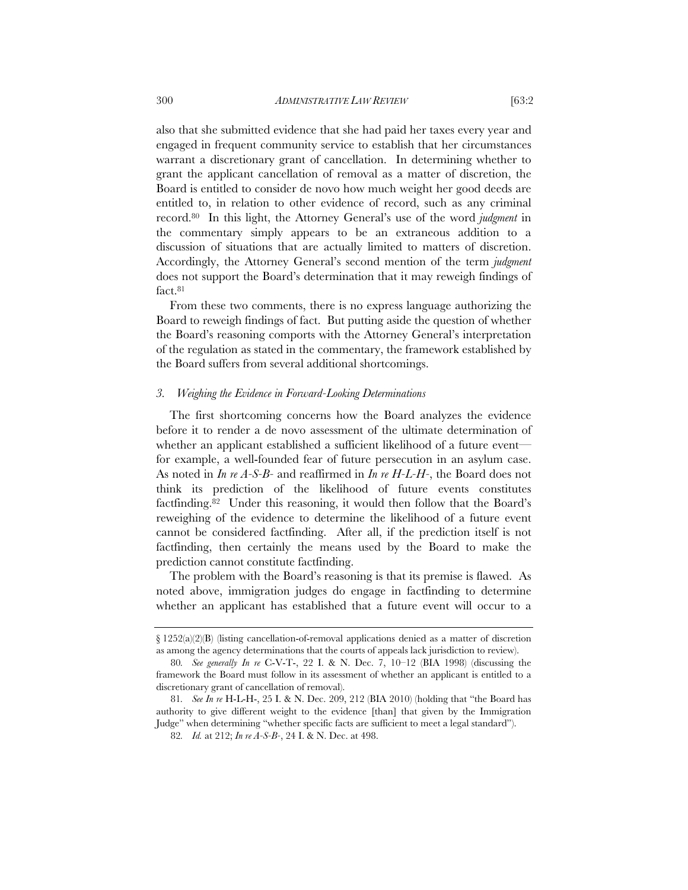also that she submitted evidence that she had paid her taxes every year and engaged in frequent community service to establish that her circumstances warrant a discretionary grant of cancellation. In determining whether to grant the applicant cancellation of removal as a matter of discretion, the Board is entitled to consider de novo how much weight her good deeds are entitled to, in relation to other evidence of record, such as any criminal record.80 In this light, the Attorney General's use of the word *judgment* in the commentary simply appears to be an extraneous addition to a discussion of situations that are actually limited to matters of discretion. Accordingly, the Attorney General's second mention of the term *judgment* does not support the Board's determination that it may reweigh findings of fact.81

From these two comments, there is no express language authorizing the Board to reweigh findings of fact. But putting aside the question of whether the Board's reasoning comports with the Attorney General's interpretation of the regulation as stated in the commentary, the framework established by the Board suffers from several additional shortcomings.

#### *3. Weighing the Evidence in Forward-Looking Determinations*

The first shortcoming concerns how the Board analyzes the evidence before it to render a de novo assessment of the ultimate determination of whether an applicant established a sufficient likelihood of a future event for example, a well-founded fear of future persecution in an asylum case. As noted in *In re A-S-B-* and reaffirmed in *In re H-L-H-*, the Board does not think its prediction of the likelihood of future events constitutes factfinding.82 Under this reasoning, it would then follow that the Board's reweighing of the evidence to determine the likelihood of a future event cannot be considered factfinding. After all, if the prediction itself is not factfinding, then certainly the means used by the Board to make the prediction cannot constitute factfinding.

The problem with the Board's reasoning is that its premise is flawed. As noted above, immigration judges do engage in factfinding to determine whether an applicant has established that a future event will occur to a

 $\S 1252(a)(2)(B)$  (listing cancellation-of-removal applications denied as a matter of discretion as among the agency determinations that the courts of appeals lack jurisdiction to review).

<sup>80</sup>*. See generally In re* C-V-T-, 22 I. & N. Dec. 7, 10–12 (BIA 1998) (discussing the framework the Board must follow in its assessment of whether an applicant is entitled to a discretionary grant of cancellation of removal).

<sup>81</sup>*. See In re* H-L-H-, 25 I. & N. Dec. 209, 212 (BIA 2010) (holding that "the Board has authority to give different weight to the evidence [than] that given by the Immigration Judge" when determining "whether specific facts are sufficient to meet a legal standard").

<sup>82</sup>*. Id.* at 212; *In re A-S-B-*, 24 I. & N. Dec. at 498.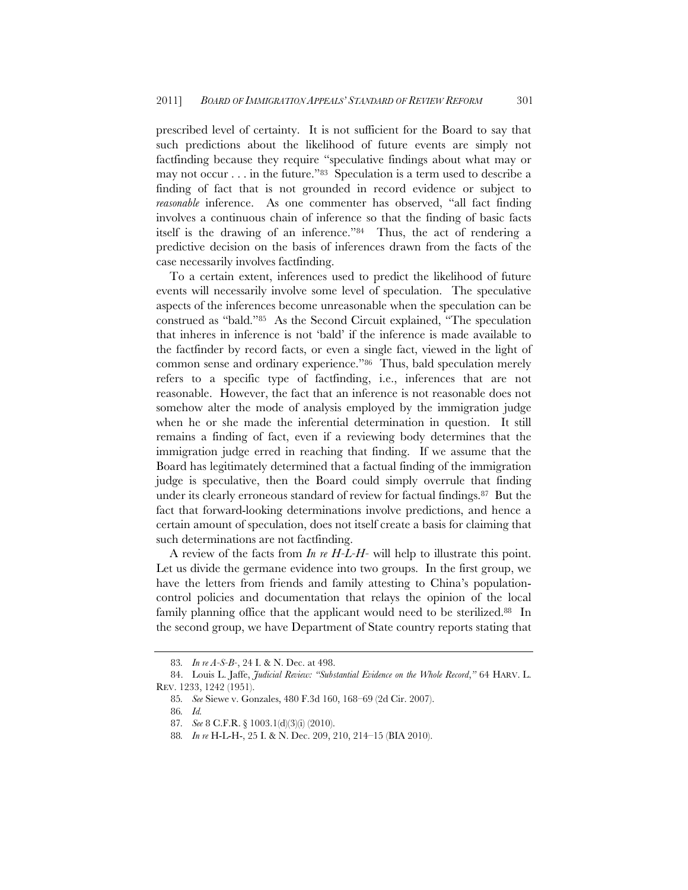prescribed level of certainty. It is not sufficient for the Board to say that such predictions about the likelihood of future events are simply not factfinding because they require "speculative findings about what may or may not occur . . . in the future."83 Speculation is a term used to describe a finding of fact that is not grounded in record evidence or subject to *reasonable* inference. As one commenter has observed, "all fact finding involves a continuous chain of inference so that the finding of basic facts itself is the drawing of an inference."84 Thus, the act of rendering a predictive decision on the basis of inferences drawn from the facts of the case necessarily involves factfinding.

To a certain extent, inferences used to predict the likelihood of future events will necessarily involve some level of speculation. The speculative aspects of the inferences become unreasonable when the speculation can be construed as "bald."85 As the Second Circuit explained, "The speculation that inheres in inference is not 'bald' if the inference is made available to the factfinder by record facts, or even a single fact, viewed in the light of common sense and ordinary experience."86 Thus, bald speculation merely refers to a specific type of factfinding, i.e., inferences that are not reasonable. However, the fact that an inference is not reasonable does not somehow alter the mode of analysis employed by the immigration judge when he or she made the inferential determination in question. It still remains a finding of fact, even if a reviewing body determines that the immigration judge erred in reaching that finding. If we assume that the Board has legitimately determined that a factual finding of the immigration judge is speculative, then the Board could simply overrule that finding under its clearly erroneous standard of review for factual findings.<sup>87</sup> But the fact that forward-looking determinations involve predictions, and hence a certain amount of speculation, does not itself create a basis for claiming that such determinations are not factfinding.

A review of the facts from *In re H-L-H-* will help to illustrate this point. Let us divide the germane evidence into two groups. In the first group, we have the letters from friends and family attesting to China's populationcontrol policies and documentation that relays the opinion of the local family planning office that the applicant would need to be sterilized.<sup>88</sup> In the second group, we have Department of State country reports stating that

<sup>83</sup>*. In re A-S-B-*, 24 I. & N. Dec. at 498.

<sup>84.</sup> Louis L. Jaffe, *Judicial Review: "Substantial Evidence on the Whole Record*,*"* 64 HARV. L. REV. 1233, 1242 (1951).

<sup>85</sup>*. See* Siewe v. Gonzales, 480 F.3d 160, 168–69 (2d Cir. 2007).

<sup>86</sup>*. Id.*

<sup>87</sup>*. See* 8 C.F.R. § 1003.1(d)(3)(i) (2010).

<sup>88</sup>*. In re* H-L-H-, 25 I. & N. Dec. 209, 210, 214–15 (BIA 2010).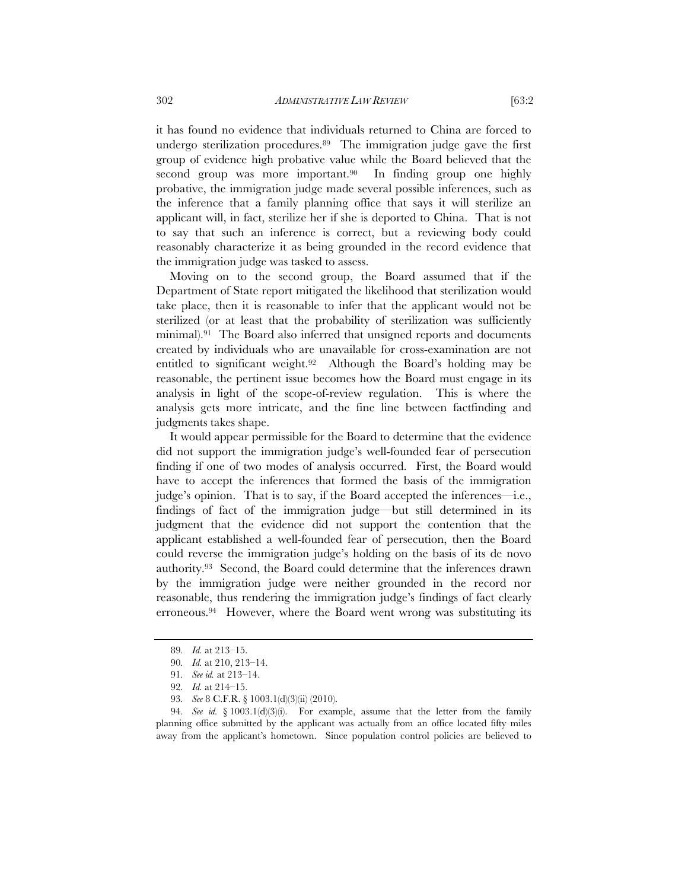it has found no evidence that individuals returned to China are forced to undergo sterilization procedures.89 The immigration judge gave the first group of evidence high probative value while the Board believed that the second group was more important.<sup>90</sup> In finding group one highly probative, the immigration judge made several possible inferences, such as the inference that a family planning office that says it will sterilize an applicant will, in fact, sterilize her if she is deported to China. That is not to say that such an inference is correct, but a reviewing body could reasonably characterize it as being grounded in the record evidence that the immigration judge was tasked to assess.

Moving on to the second group, the Board assumed that if the Department of State report mitigated the likelihood that sterilization would take place, then it is reasonable to infer that the applicant would not be sterilized (or at least that the probability of sterilization was sufficiently minimal).91 The Board also inferred that unsigned reports and documents created by individuals who are unavailable for cross-examination are not entitled to significant weight.92 Although the Board's holding may be reasonable, the pertinent issue becomes how the Board must engage in its analysis in light of the scope-of-review regulation. This is where the analysis gets more intricate, and the fine line between factfinding and judgments takes shape.

It would appear permissible for the Board to determine that the evidence did not support the immigration judge's well-founded fear of persecution finding if one of two modes of analysis occurred. First, the Board would have to accept the inferences that formed the basis of the immigration judge's opinion. That is to say, if the Board accepted the inferences—i.e., findings of fact of the immigration judge—but still determined in its judgment that the evidence did not support the contention that the applicant established a well-founded fear of persecution, then the Board could reverse the immigration judge's holding on the basis of its de novo authority.93 Second, the Board could determine that the inferences drawn by the immigration judge were neither grounded in the record nor reasonable, thus rendering the immigration judge's findings of fact clearly erroneous.94 However, where the Board went wrong was substituting its

<sup>89</sup>*. Id.* at 213–15.

<sup>90</sup>*. Id.* at 210, 213–14.

<sup>91</sup>*. See id.* at 213–14.

<sup>92</sup>*. Id.* at 214–15.

<sup>93</sup>*. See* 8 C.F.R. § 1003.1(d)(3)(ii) (2010).

<sup>94</sup>*. See id.* § 1003.1(d)(3)(i). For example, assume that the letter from the family planning office submitted by the applicant was actually from an office located fifty miles away from the applicant's hometown. Since population control policies are believed to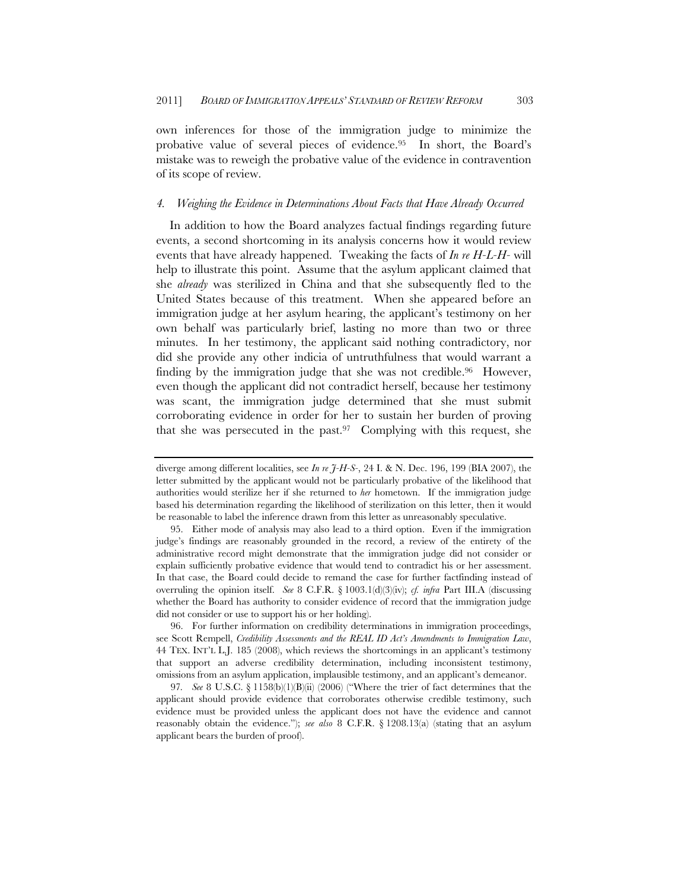own inferences for those of the immigration judge to minimize the probative value of several pieces of evidence.95 In short, the Board's mistake was to reweigh the probative value of the evidence in contravention of its scope of review.

#### *4. Weighing the Evidence in Determinations About Facts that Have Already Occurred*

In addition to how the Board analyzes factual findings regarding future events, a second shortcoming in its analysis concerns how it would review events that have already happened. Tweaking the facts of *In re H-L-H-* will help to illustrate this point. Assume that the asylum applicant claimed that she *already* was sterilized in China and that she subsequently fled to the United States because of this treatment. When she appeared before an immigration judge at her asylum hearing, the applicant's testimony on her own behalf was particularly brief, lasting no more than two or three minutes. In her testimony, the applicant said nothing contradictory, nor did she provide any other indicia of untruthfulness that would warrant a finding by the immigration judge that she was not credible.<sup>96</sup> However, even though the applicant did not contradict herself, because her testimony was scant, the immigration judge determined that she must submit corroborating evidence in order for her to sustain her burden of proving that she was persecuted in the past. $97$  Complying with this request, she

96. For further information on credibility determinations in immigration proceedings, see Scott Rempell, *Credibility Assessments and the REAL ID Act's Amendments to Immigration Law*, 44 TEX. INT'L L.J. 185 (2008), which reviews the shortcomings in an applicant's testimony that support an adverse credibility determination, including inconsistent testimony, omissions from an asylum application, implausible testimony, and an applicant's demeanor.

97*. See* 8 U.S.C. § 1158(b)(1)(B)(ii) (2006) ("Where the trier of fact determines that the applicant should provide evidence that corroborates otherwise credible testimony, such evidence must be provided unless the applicant does not have the evidence and cannot reasonably obtain the evidence."); *see also* 8 C.F.R. § 1208.13(a) (stating that an asylum applicant bears the burden of proof).

diverge among different localities, see *In re J-H-S-*, 24 I. & N. Dec. 196, 199 (BIA 2007), the letter submitted by the applicant would not be particularly probative of the likelihood that authorities would sterilize her if she returned to *her* hometown. If the immigration judge based his determination regarding the likelihood of sterilization on this letter, then it would be reasonable to label the inference drawn from this letter as unreasonably speculative.

<sup>95.</sup> Either mode of analysis may also lead to a third option. Even if the immigration judge's findings are reasonably grounded in the record, a review of the entirety of the administrative record might demonstrate that the immigration judge did not consider or explain sufficiently probative evidence that would tend to contradict his or her assessment. In that case, the Board could decide to remand the case for further factfinding instead of overruling the opinion itself. *See* 8 C.F.R. § 1003.1(d)(3)(iv); *cf. infra* Part III.A (discussing whether the Board has authority to consider evidence of record that the immigration judge did not consider or use to support his or her holding).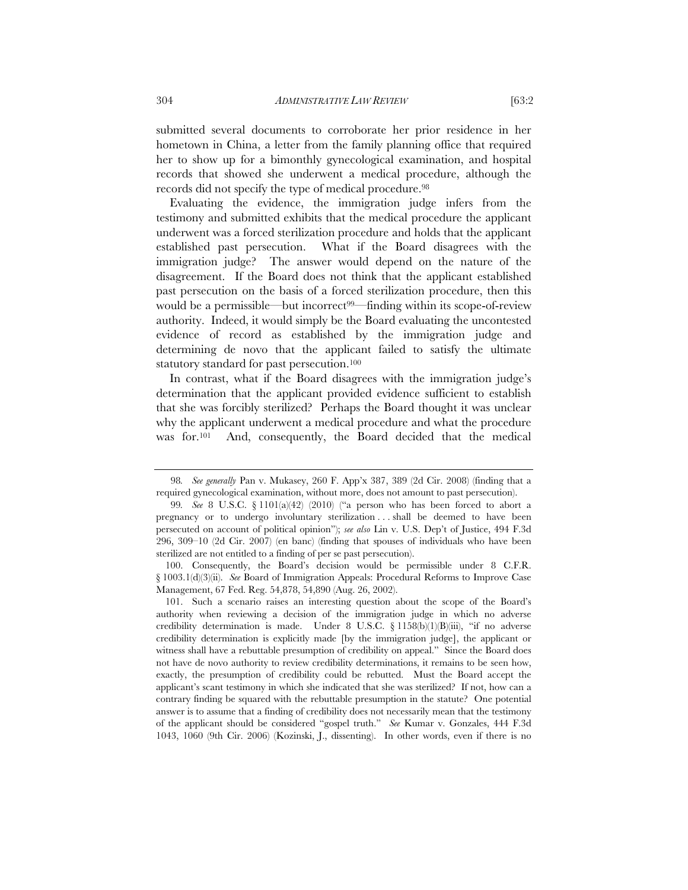submitted several documents to corroborate her prior residence in her hometown in China, a letter from the family planning office that required her to show up for a bimonthly gynecological examination, and hospital records that showed she underwent a medical procedure, although the records did not specify the type of medical procedure.<sup>98</sup>

Evaluating the evidence, the immigration judge infers from the testimony and submitted exhibits that the medical procedure the applicant underwent was a forced sterilization procedure and holds that the applicant established past persecution. What if the Board disagrees with the immigration judge? The answer would depend on the nature of the disagreement. If the Board does not think that the applicant established past persecution on the basis of a forced sterilization procedure, then this would be a permissible—but incorrect<sup>99—</sup>finding within its scope-of-review authority. Indeed, it would simply be the Board evaluating the uncontested evidence of record as established by the immigration judge and determining de novo that the applicant failed to satisfy the ultimate statutory standard for past persecution.<sup>100</sup>

In contrast, what if the Board disagrees with the immigration judge's determination that the applicant provided evidence sufficient to establish that she was forcibly sterilized? Perhaps the Board thought it was unclear why the applicant underwent a medical procedure and what the procedure was for.101 And, consequently, the Board decided that the medical

 100. Consequently, the Board's decision would be permissible under 8 C.F.R. § 1003.1(d)(3)(ii). *See* Board of Immigration Appeals: Procedural Reforms to Improve Case Management, 67 Fed. Reg. 54,878, 54,890 (Aug. 26, 2002).

<sup>98</sup>*. See generally* Pan v. Mukasey, 260 F. App'x 387, 389 (2d Cir. 2008) (finding that a required gynecological examination, without more, does not amount to past persecution).

<sup>99</sup>*. See* 8 U.S.C. § 1101(a)(42) (2010) ("a person who has been forced to abort a pregnancy or to undergo involuntary sterilization . . . shall be deemed to have been persecuted on account of political opinion"); *see also* Lin v. U.S. Dep't of Justice, 494 F.3d 296, 309–10 (2d Cir. 2007) (en banc) (finding that spouses of individuals who have been sterilized are not entitled to a finding of per se past persecution).

 <sup>101.</sup> Such a scenario raises an interesting question about the scope of the Board's authority when reviewing a decision of the immigration judge in which no adverse credibility determination is made. Under 8 U.S.C.  $\S$  1158(b)(1)(B)(iii), "if no adverse credibility determination is explicitly made [by the immigration judge], the applicant or witness shall have a rebuttable presumption of credibility on appeal." Since the Board does not have de novo authority to review credibility determinations, it remains to be seen how, exactly, the presumption of credibility could be rebutted. Must the Board accept the applicant's scant testimony in which she indicated that she was sterilized? If not, how can a contrary finding be squared with the rebuttable presumption in the statute? One potential answer is to assume that a finding of credibility does not necessarily mean that the testimony of the applicant should be considered "gospel truth." *See* Kumar v. Gonzales, 444 F.3d 1043, 1060 (9th Cir. 2006) (Kozinski, J., dissenting). In other words, even if there is no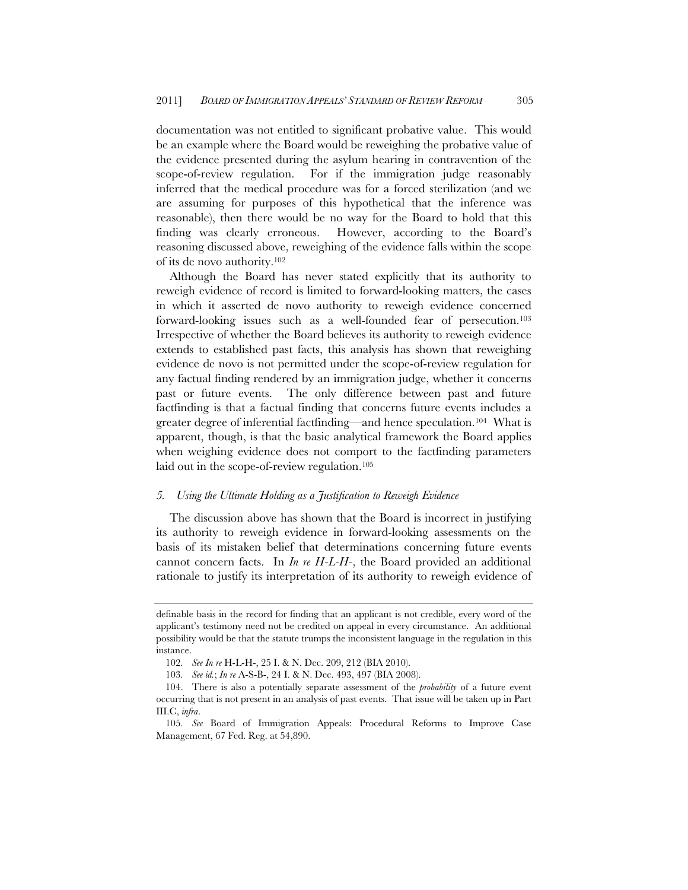documentation was not entitled to significant probative value. This would be an example where the Board would be reweighing the probative value of the evidence presented during the asylum hearing in contravention of the scope-of-review regulation. For if the immigration judge reasonably inferred that the medical procedure was for a forced sterilization (and we are assuming for purposes of this hypothetical that the inference was reasonable), then there would be no way for the Board to hold that this finding was clearly erroneous. However, according to the Board's reasoning discussed above, reweighing of the evidence falls within the scope of its de novo authority.102

Although the Board has never stated explicitly that its authority to reweigh evidence of record is limited to forward-looking matters, the cases in which it asserted de novo authority to reweigh evidence concerned forward-looking issues such as a well-founded fear of persecution.103 Irrespective of whether the Board believes its authority to reweigh evidence extends to established past facts, this analysis has shown that reweighing evidence de novo is not permitted under the scope-of-review regulation for any factual finding rendered by an immigration judge, whether it concerns past or future events. The only difference between past and future factfinding is that a factual finding that concerns future events includes a greater degree of inferential factfinding—and hence speculation.104 What is apparent, though, is that the basic analytical framework the Board applies when weighing evidence does not comport to the factfinding parameters laid out in the scope-of-review regulation.<sup>105</sup>

#### *5. Using the Ultimate Holding as a Justification to Reweigh Evidence*

The discussion above has shown that the Board is incorrect in justifying its authority to reweigh evidence in forward-looking assessments on the basis of its mistaken belief that determinations concerning future events cannot concern facts. In *In re H-L-H-*, the Board provided an additional rationale to justify its interpretation of its authority to reweigh evidence of

definable basis in the record for finding that an applicant is not credible, every word of the applicant's testimony need not be credited on appeal in every circumstance. An additional possibility would be that the statute trumps the inconsistent language in the regulation in this instance.

<sup>102</sup>*. See In re* H-L-H-, 25 I. & N. Dec. 209, 212 (BIA 2010).

<sup>103</sup>*. See id.*; *In re* A-S-B-, 24 I. & N. Dec. 493, 497 (BIA 2008).

<sup>104.</sup> There is also a potentially separate assessment of the *probability* of a future event occurring that is not present in an analysis of past events. That issue will be taken up in Part III.C, *infra*.

<sup>105</sup>*. See* Board of Immigration Appeals: Procedural Reforms to Improve Case Management, 67 Fed. Reg. at 54,890.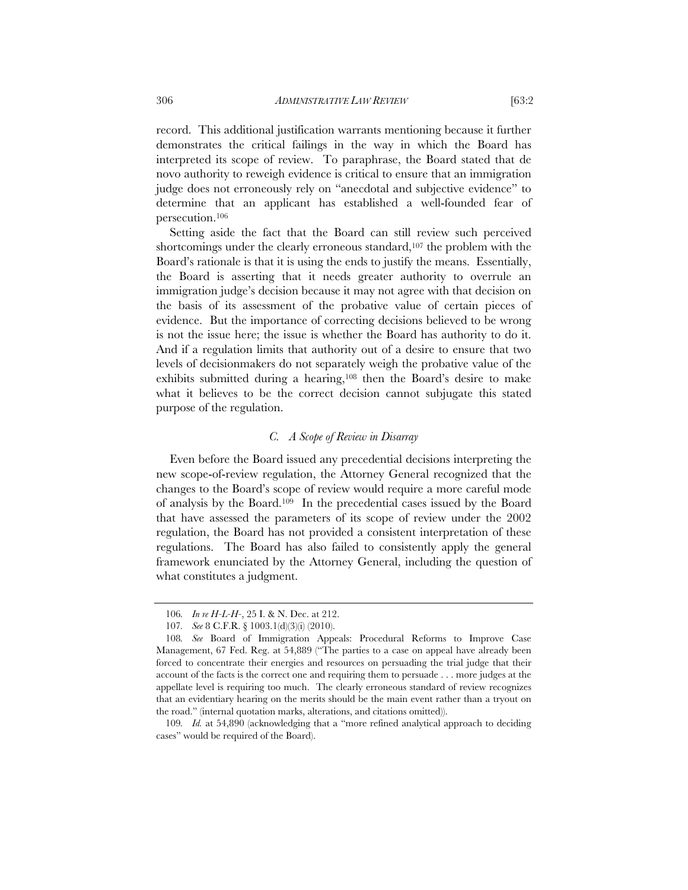record. This additional justification warrants mentioning because it further demonstrates the critical failings in the way in which the Board has interpreted its scope of review. To paraphrase, the Board stated that de novo authority to reweigh evidence is critical to ensure that an immigration judge does not erroneously rely on "anecdotal and subjective evidence" to determine that an applicant has established a well-founded fear of persecution.106

Setting aside the fact that the Board can still review such perceived shortcomings under the clearly erroneous standard,<sup>107</sup> the problem with the Board's rationale is that it is using the ends to justify the means. Essentially, the Board is asserting that it needs greater authority to overrule an immigration judge's decision because it may not agree with that decision on the basis of its assessment of the probative value of certain pieces of evidence. But the importance of correcting decisions believed to be wrong is not the issue here; the issue is whether the Board has authority to do it. And if a regulation limits that authority out of a desire to ensure that two levels of decisionmakers do not separately weigh the probative value of the exhibits submitted during a hearing,108 then the Board's desire to make what it believes to be the correct decision cannot subjugate this stated purpose of the regulation.

#### *C. A Scope of Review in Disarray*

Even before the Board issued any precedential decisions interpreting the new scope-of-review regulation, the Attorney General recognized that the changes to the Board's scope of review would require a more careful mode of analysis by the Board.109 In the precedential cases issued by the Board that have assessed the parameters of its scope of review under the 2002 regulation, the Board has not provided a consistent interpretation of these regulations. The Board has also failed to consistently apply the general framework enunciated by the Attorney General, including the question of what constitutes a judgment.

109*. Id.* at 54,890 (acknowledging that a "more refined analytical approach to deciding cases" would be required of the Board).

<sup>106</sup>*. In re H-L-H-*, 25 I. & N. Dec. at 212.

<sup>107</sup>*. See* 8 C.F.R. § 1003.1(d)(3)(i) (2010).

<sup>108</sup>*. See* Board of Immigration Appeals: Procedural Reforms to Improve Case Management, 67 Fed. Reg. at 54,889 ("The parties to a case on appeal have already been forced to concentrate their energies and resources on persuading the trial judge that their account of the facts is the correct one and requiring them to persuade . . . more judges at the appellate level is requiring too much. The clearly erroneous standard of review recognizes that an evidentiary hearing on the merits should be the main event rather than a tryout on the road." (internal quotation marks, alterations, and citations omitted)).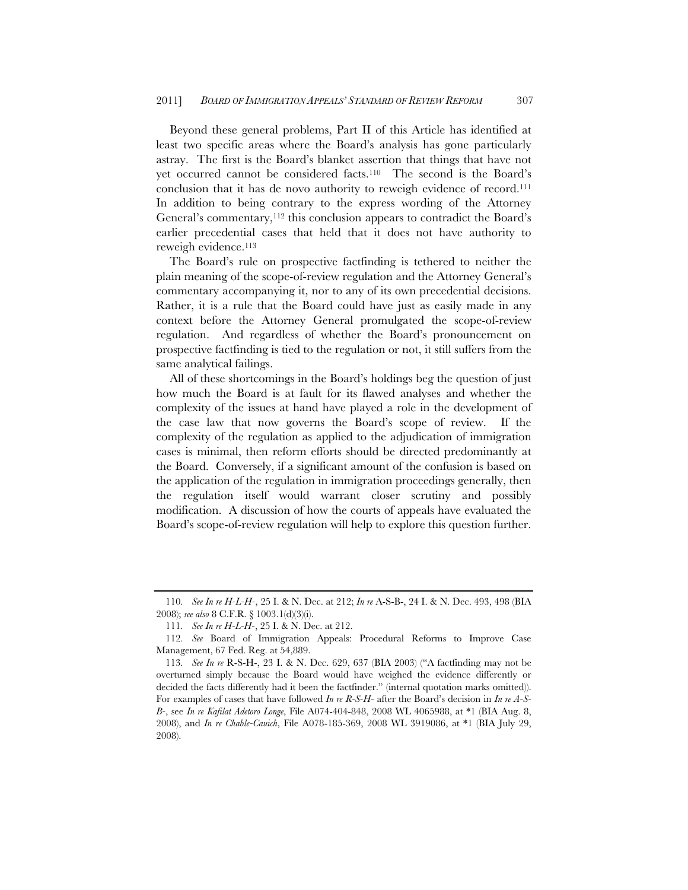Beyond these general problems, Part II of this Article has identified at least two specific areas where the Board's analysis has gone particularly astray. The first is the Board's blanket assertion that things that have not yet occurred cannot be considered facts.110 The second is the Board's conclusion that it has de novo authority to reweigh evidence of record.111 In addition to being contrary to the express wording of the Attorney General's commentary,<sup>112</sup> this conclusion appears to contradict the Board's earlier precedential cases that held that it does not have authority to reweigh evidence.113

The Board's rule on prospective factfinding is tethered to neither the plain meaning of the scope-of-review regulation and the Attorney General's commentary accompanying it, nor to any of its own precedential decisions. Rather, it is a rule that the Board could have just as easily made in any context before the Attorney General promulgated the scope-of-review regulation. And regardless of whether the Board's pronouncement on prospective factfinding is tied to the regulation or not, it still suffers from the same analytical failings.

All of these shortcomings in the Board's holdings beg the question of just how much the Board is at fault for its flawed analyses and whether the complexity of the issues at hand have played a role in the development of the case law that now governs the Board's scope of review. If the complexity of the regulation as applied to the adjudication of immigration cases is minimal, then reform efforts should be directed predominantly at the Board. Conversely, if a significant amount of the confusion is based on the application of the regulation in immigration proceedings generally, then the regulation itself would warrant closer scrutiny and possibly modification. A discussion of how the courts of appeals have evaluated the Board's scope-of-review regulation will help to explore this question further.

<sup>110</sup>*. See In re H-L-H-*, 25 I. & N. Dec. at 212; *In re* A-S-B-, 24 I. & N. Dec. 493, 498 (BIA 2008); *see also* 8 C.F.R. § 1003.1(d)(3)(i).

<sup>111</sup>*. See In re H-L-H-*, 25 I. & N. Dec. at 212.

<sup>112</sup>*. See* Board of Immigration Appeals: Procedural Reforms to Improve Case Management, 67 Fed. Reg. at 54,889.

<sup>113</sup>*. See In re* R-S-H-, 23 I. & N. Dec. 629, 637 (BIA 2003) ("A factfinding may not be overturned simply because the Board would have weighed the evidence differently or decided the facts differently had it been the factfinder." (internal quotation marks omitted)). For examples of cases that have followed *In re R-S-H-* after the Board's decision in *In re A-S-B-*, see *In re Kafilat Adetoro Longe*, File A074-404-848, 2008 WL 4065988, at \*1 (BIA Aug. 8, 2008), and *In re Chable-Cauich*, File A078-185-369, 2008 WL 3919086, at \*1 (BIA July 29, 2008).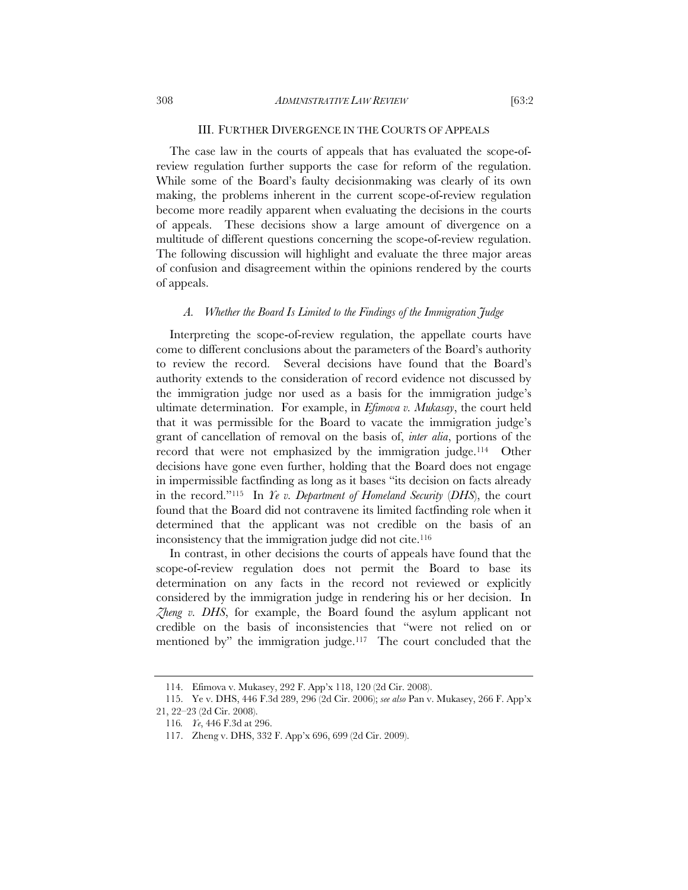The case law in the courts of appeals that has evaluated the scope-ofreview regulation further supports the case for reform of the regulation. While some of the Board's faulty decisionmaking was clearly of its own making, the problems inherent in the current scope-of-review regulation become more readily apparent when evaluating the decisions in the courts of appeals. These decisions show a large amount of divergence on a multitude of different questions concerning the scope-of-review regulation. The following discussion will highlight and evaluate the three major areas of confusion and disagreement within the opinions rendered by the courts of appeals.

#### *A. Whether the Board Is Limited to the Findings of the Immigration Judge*

Interpreting the scope-of-review regulation, the appellate courts have come to different conclusions about the parameters of the Board's authority to review the record. Several decisions have found that the Board's authority extends to the consideration of record evidence not discussed by the immigration judge nor used as a basis for the immigration judge's ultimate determination. For example, in *Efimova v. Mukasay*, the court held that it was permissible for the Board to vacate the immigration judge's grant of cancellation of removal on the basis of, *inter alia*, portions of the record that were not emphasized by the immigration judge.<sup>114</sup> Other decisions have gone even further, holding that the Board does not engage in impermissible factfinding as long as it bases "its decision on facts already in the record."115 In *Ye v. Department of Homeland Security* (*DHS*), the court found that the Board did not contravene its limited factfinding role when it determined that the applicant was not credible on the basis of an inconsistency that the immigration judge did not cite.<sup>116</sup>

In contrast, in other decisions the courts of appeals have found that the scope-of-review regulation does not permit the Board to base its determination on any facts in the record not reviewed or explicitly considered by the immigration judge in rendering his or her decision. In *Zheng v. DHS*, for example, the Board found the asylum applicant not credible on the basis of inconsistencies that "were not relied on or mentioned by" the immigration judge.<sup>117</sup> The court concluded that the

<sup>114.</sup> Efimova v. Mukasey, 292 F. App'x 118, 120 (2d Cir. 2008).

 <sup>115.</sup> Ye v. DHS, 446 F.3d 289, 296 (2d Cir. 2006); *see also* Pan v. Mukasey, 266 F. App'x 21, 22–23 (2d Cir. 2008).

<sup>116</sup>*. Ye*, 446 F.3d at 296.

<sup>117.</sup> Zheng v. DHS, 332 F. App'x 696, 699 (2d Cir. 2009).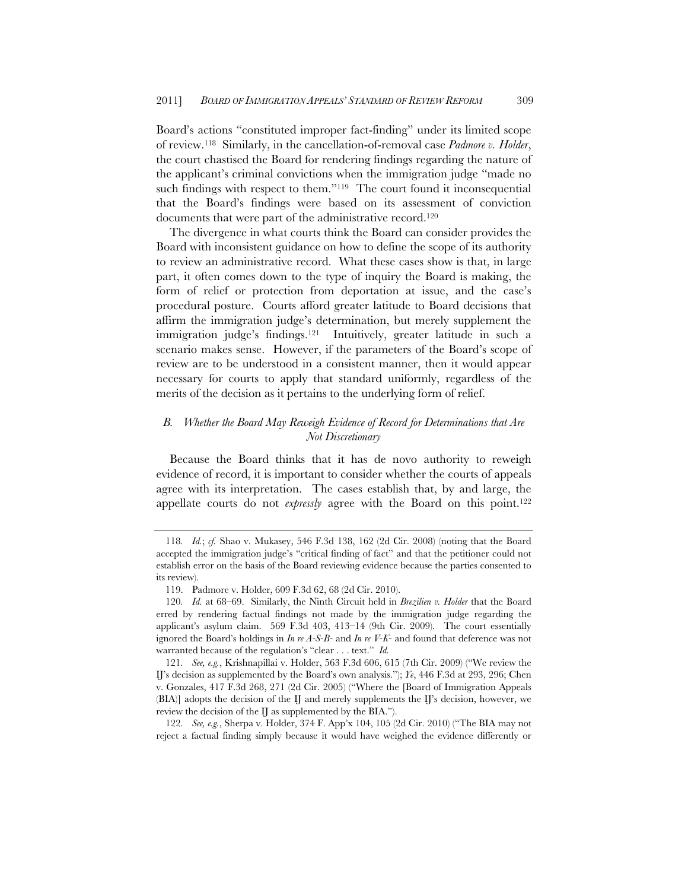Board's actions "constituted improper fact-finding" under its limited scope of review.118 Similarly, in the cancellation-of-removal case *Padmore v. Holder*, the court chastised the Board for rendering findings regarding the nature of the applicant's criminal convictions when the immigration judge "made no such findings with respect to them."<sup>119</sup> The court found it inconsequential that the Board's findings were based on its assessment of conviction documents that were part of the administrative record.<sup>120</sup>

The divergence in what courts think the Board can consider provides the Board with inconsistent guidance on how to define the scope of its authority to review an administrative record. What these cases show is that, in large part, it often comes down to the type of inquiry the Board is making, the form of relief or protection from deportation at issue, and the case's procedural posture. Courts afford greater latitude to Board decisions that affirm the immigration judge's determination, but merely supplement the immigration judge's findings.121 Intuitively, greater latitude in such a scenario makes sense. However, if the parameters of the Board's scope of review are to be understood in a consistent manner, then it would appear necessary for courts to apply that standard uniformly, regardless of the merits of the decision as it pertains to the underlying form of relief.

# *B. Whether the Board May Reweigh Evidence of Record for Determinations that Are Not Discretionary*

Because the Board thinks that it has de novo authority to reweigh evidence of record, it is important to consider whether the courts of appeals agree with its interpretation. The cases establish that, by and large, the appellate courts do not *expressly* agree with the Board on this point.<sup>122</sup>

122*. See, e.g.*, Sherpa v. Holder, 374 F. App'x 104, 105 (2d Cir. 2010) ("The BIA may not reject a factual finding simply because it would have weighed the evidence differently or

<sup>118</sup>*. Id.*; *cf.* Shao v. Mukasey, 546 F.3d 138, 162 (2d Cir. 2008) (noting that the Board accepted the immigration judge's "critical finding of fact" and that the petitioner could not establish error on the basis of the Board reviewing evidence because the parties consented to its review).

<sup>119.</sup> Padmore v. Holder, 609 F.3d 62, 68 (2d Cir. 2010).

<sup>120</sup>*. Id.* at 68–69. Similarly, the Ninth Circuit held in *Brezilien v. Holder* that the Board erred by rendering factual findings not made by the immigration judge regarding the applicant's asylum claim. 569 F.3d 403, 413–14 (9th Cir. 2009). The court essentially ignored the Board's holdings in *In re A-S-B-* and *In re V-K-* and found that deference was not warranted because of the regulation's "clear . . . text." *Id.* 

<sup>121</sup>*. See, e.g.*, Krishnapillai v. Holder, 563 F.3d 606, 615 (7th Cir. 2009) ("We review the IJ's decision as supplemented by the Board's own analysis."); *Ye*, 446 F.3d at 293, 296; Chen v. Gonzales, 417 F.3d 268, 271 (2d Cir. 2005) ("Where the [Board of Immigration Appeals (BIA)] adopts the decision of the IJ and merely supplements the IJ's decision, however, we review the decision of the IJ as supplemented by the BIA.").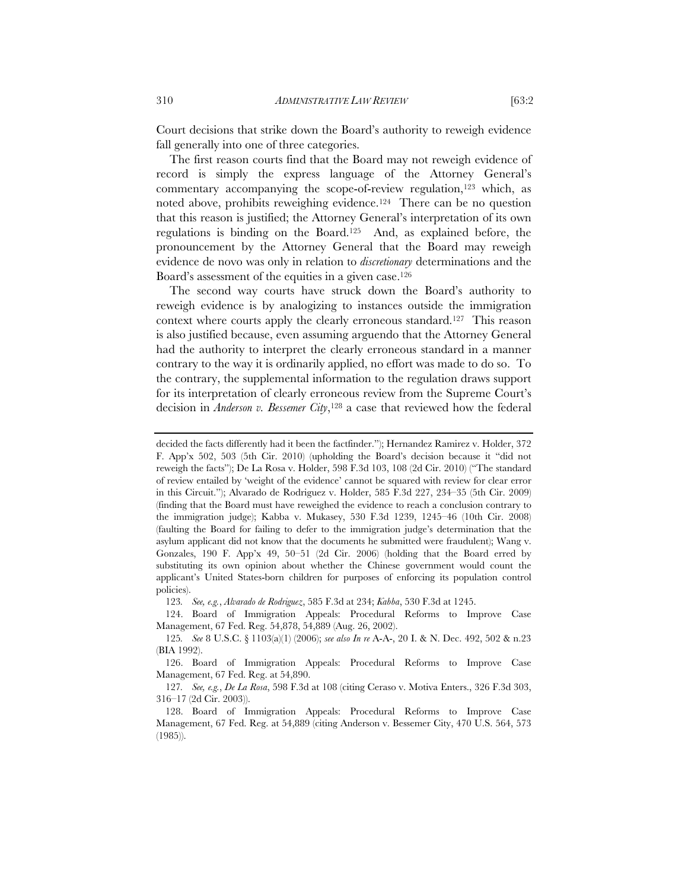Court decisions that strike down the Board's authority to reweigh evidence fall generally into one of three categories.

The first reason courts find that the Board may not reweigh evidence of record is simply the express language of the Attorney General's commentary accompanying the scope-of-review regulation,<sup>123</sup> which, as noted above, prohibits reweighing evidence.124 There can be no question that this reason is justified; the Attorney General's interpretation of its own regulations is binding on the Board.125 And, as explained before, the pronouncement by the Attorney General that the Board may reweigh evidence de novo was only in relation to *discretionary* determinations and the Board's assessment of the equities in a given case.126

The second way courts have struck down the Board's authority to reweigh evidence is by analogizing to instances outside the immigration context where courts apply the clearly erroneous standard.<sup>127</sup> This reason is also justified because, even assuming arguendo that the Attorney General had the authority to interpret the clearly erroneous standard in a manner contrary to the way it is ordinarily applied, no effort was made to do so. To the contrary, the supplemental information to the regulation draws support for its interpretation of clearly erroneous review from the Supreme Court's decision in *Anderson v. Bessemer City*,<sup>128</sup> a case that reviewed how the federal

123*. See, e.g.*, *Alvarado de Rodriguez*, 585 F.3d at 234; *Kabba*, 530 F.3d at 1245.

 124. Board of Immigration Appeals: Procedural Reforms to Improve Case Management, 67 Fed. Reg. 54,878, 54,889 (Aug. 26, 2002).

 126. Board of Immigration Appeals: Procedural Reforms to Improve Case Management, 67 Fed. Reg. at 54,890.

127*. See, e.g.*, *De La Rosa*, 598 F.3d at 108 (citing Ceraso v. Motiva Enters., 326 F.3d 303, 316–17 (2d Cir. 2003)).

decided the facts differently had it been the factfinder."); Hernandez Ramirez v. Holder, 372 F. App'x 502, 503 (5th Cir. 2010) (upholding the Board's decision because it "did not reweigh the facts"); De La Rosa v. Holder, 598 F.3d 103, 108 (2d Cir. 2010) ("The standard of review entailed by 'weight of the evidence' cannot be squared with review for clear error in this Circuit."); Alvarado de Rodriguez v. Holder, 585 F.3d 227, 234–35 (5th Cir. 2009) (finding that the Board must have reweighed the evidence to reach a conclusion contrary to the immigration judge); Kabba v. Mukasey, 530 F.3d 1239, 1245–46 (10th Cir. 2008) (faulting the Board for failing to defer to the immigration judge's determination that the asylum applicant did not know that the documents he submitted were fraudulent); Wang v. Gonzales, 190 F. App'x 49, 50–51 (2d Cir. 2006) (holding that the Board erred by substituting its own opinion about whether the Chinese government would count the applicant's United States-born children for purposes of enforcing its population control policies).

<sup>125</sup>*. See* 8 U.S.C. § 1103(a)(1) (2006); *see also In re* A-A-, 20 I. & N. Dec. 492, 502 & n.23 (BIA 1992).

 <sup>128.</sup> Board of Immigration Appeals: Procedural Reforms to Improve Case Management, 67 Fed. Reg. at 54,889 (citing Anderson v. Bessemer City, 470 U.S. 564, 573 (1985)).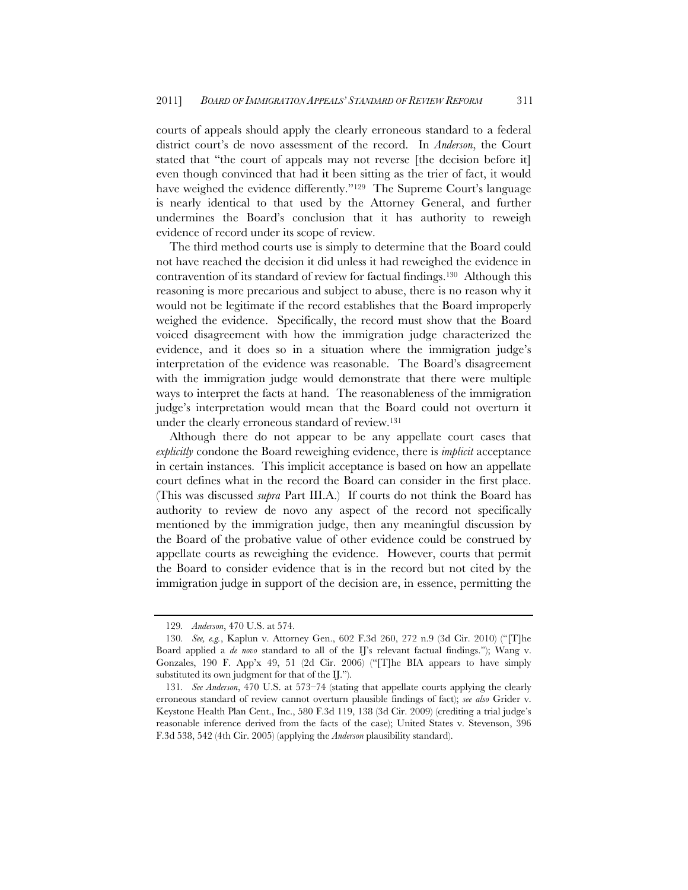courts of appeals should apply the clearly erroneous standard to a federal district court's de novo assessment of the record. In *Anderson*, the Court stated that "the court of appeals may not reverse [the decision before it] even though convinced that had it been sitting as the trier of fact, it would have weighed the evidence differently."<sup>129</sup> The Supreme Court's language is nearly identical to that used by the Attorney General, and further undermines the Board's conclusion that it has authority to reweigh evidence of record under its scope of review.

The third method courts use is simply to determine that the Board could not have reached the decision it did unless it had reweighed the evidence in contravention of its standard of review for factual findings.130 Although this reasoning is more precarious and subject to abuse, there is no reason why it would not be legitimate if the record establishes that the Board improperly weighed the evidence. Specifically, the record must show that the Board voiced disagreement with how the immigration judge characterized the evidence, and it does so in a situation where the immigration judge's interpretation of the evidence was reasonable. The Board's disagreement with the immigration judge would demonstrate that there were multiple ways to interpret the facts at hand. The reasonableness of the immigration judge's interpretation would mean that the Board could not overturn it under the clearly erroneous standard of review.131

Although there do not appear to be any appellate court cases that *explicitly* condone the Board reweighing evidence, there is *implicit* acceptance in certain instances. This implicit acceptance is based on how an appellate court defines what in the record the Board can consider in the first place. (This was discussed *supra* Part III.A.) If courts do not think the Board has authority to review de novo any aspect of the record not specifically mentioned by the immigration judge, then any meaningful discussion by the Board of the probative value of other evidence could be construed by appellate courts as reweighing the evidence. However, courts that permit the Board to consider evidence that is in the record but not cited by the immigration judge in support of the decision are, in essence, permitting the

<sup>129</sup>*. Anderson*, 470 U.S. at 574.

<sup>130</sup>*. See, e.g.*, Kaplun v. Attorney Gen., 602 F.3d 260, 272 n.9 (3d Cir. 2010) ("[T]he Board applied a *de novo* standard to all of the IJ's relevant factual findings."); Wang v. Gonzales, 190 F. App'x 49, 51 (2d Cir. 2006) ("[T]he BIA appears to have simply substituted its own judgment for that of the IJ.").

<sup>131</sup>*. See Anderson*, 470 U.S. at 573–74 (stating that appellate courts applying the clearly erroneous standard of review cannot overturn plausible findings of fact); *see also* Grider v. Keystone Health Plan Cent., Inc., 580 F.3d 119, 138 (3d Cir. 2009) (crediting a trial judge's reasonable inference derived from the facts of the case); United States v. Stevenson, 396 F.3d 538, 542 (4th Cir. 2005) (applying the *Anderson* plausibility standard).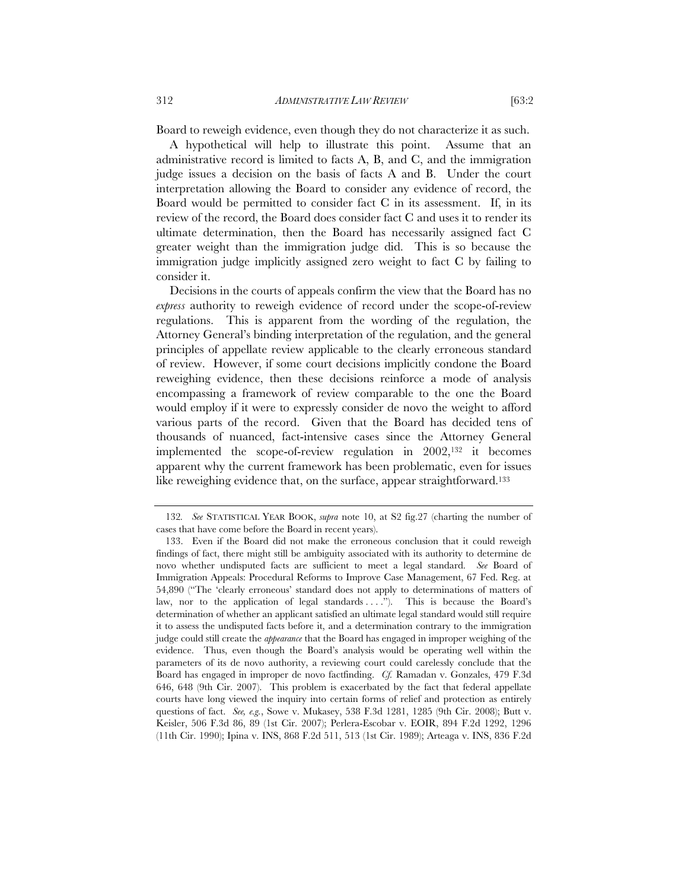Board to reweigh evidence, even though they do not characterize it as such.

A hypothetical will help to illustrate this point. Assume that an administrative record is limited to facts A, B, and C, and the immigration judge issues a decision on the basis of facts A and B. Under the court interpretation allowing the Board to consider any evidence of record, the Board would be permitted to consider fact C in its assessment. If, in its review of the record, the Board does consider fact C and uses it to render its ultimate determination, then the Board has necessarily assigned fact C greater weight than the immigration judge did. This is so because the immigration judge implicitly assigned zero weight to fact C by failing to consider it.

Decisions in the courts of appeals confirm the view that the Board has no *express* authority to reweigh evidence of record under the scope-of-review regulations. This is apparent from the wording of the regulation, the Attorney General's binding interpretation of the regulation, and the general principles of appellate review applicable to the clearly erroneous standard of review. However, if some court decisions implicitly condone the Board reweighing evidence, then these decisions reinforce a mode of analysis encompassing a framework of review comparable to the one the Board would employ if it were to expressly consider de novo the weight to afford various parts of the record. Given that the Board has decided tens of thousands of nuanced, fact-intensive cases since the Attorney General implemented the scope-of-review regulation in 2002,132 it becomes apparent why the current framework has been problematic, even for issues like reweighing evidence that, on the surface, appear straightforward.<sup>133</sup>

<sup>132</sup>*. See* STATISTICAL YEAR BOOK, *supra* note 10, at S2 fig.27 (charting the number of cases that have come before the Board in recent years).

 <sup>133.</sup> Even if the Board did not make the erroneous conclusion that it could reweigh findings of fact, there might still be ambiguity associated with its authority to determine de novo whether undisputed facts are sufficient to meet a legal standard. *See* Board of Immigration Appeals: Procedural Reforms to Improve Case Management, 67 Fed. Reg. at 54,890 ("The 'clearly erroneous' standard does not apply to determinations of matters of law, nor to the application of legal standards . . . ."). This is because the Board's determination of whether an applicant satisfied an ultimate legal standard would still require it to assess the undisputed facts before it, and a determination contrary to the immigration judge could still create the *appearance* that the Board has engaged in improper weighing of the evidence. Thus, even though the Board's analysis would be operating well within the parameters of its de novo authority, a reviewing court could carelessly conclude that the Board has engaged in improper de novo factfinding. *Cf.* Ramadan v. Gonzales, 479 F.3d 646, 648 (9th Cir. 2007). This problem is exacerbated by the fact that federal appellate courts have long viewed the inquiry into certain forms of relief and protection as entirely questions of fact. *See, e.g.*, Sowe v. Mukasey, 538 F.3d 1281, 1285 (9th Cir. 2008); Butt v. Keisler, 506 F.3d 86, 89 (1st Cir. 2007); Perlera-Escobar v. EOIR, 894 F.2d 1292, 1296 (11th Cir. 1990); Ipina v. INS, 868 F.2d 511, 513 (1st Cir. 1989); Arteaga v. INS, 836 F.2d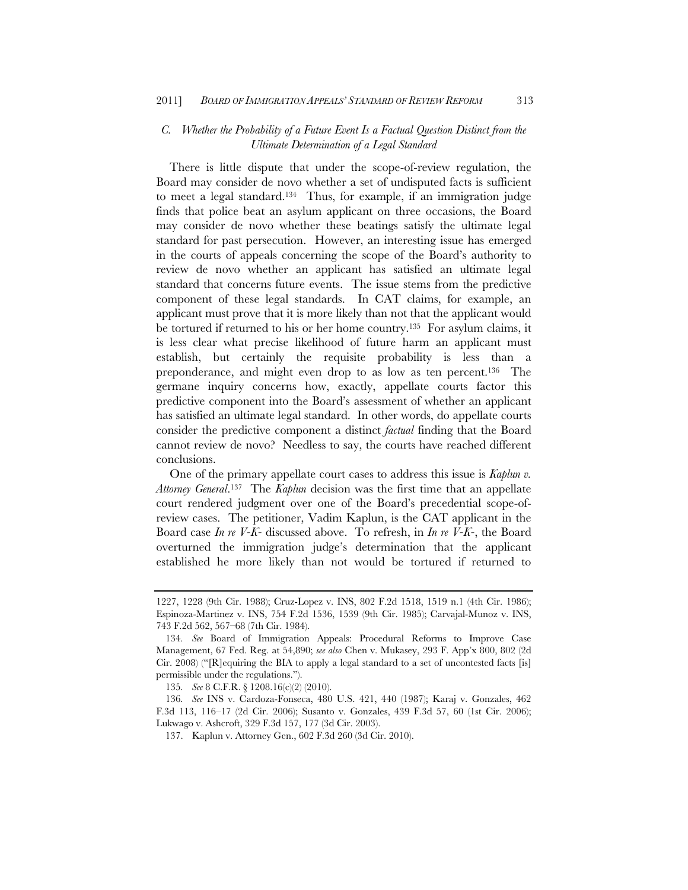# *C. Whether the Probability of a Future Event Is a Factual Question Distinct from the Ultimate Determination of a Legal Standard*

There is little dispute that under the scope-of-review regulation, the Board may consider de novo whether a set of undisputed facts is sufficient to meet a legal standard.134 Thus, for example, if an immigration judge finds that police beat an asylum applicant on three occasions, the Board may consider de novo whether these beatings satisfy the ultimate legal standard for past persecution. However, an interesting issue has emerged in the courts of appeals concerning the scope of the Board's authority to review de novo whether an applicant has satisfied an ultimate legal standard that concerns future events. The issue stems from the predictive component of these legal standards. In CAT claims, for example, an applicant must prove that it is more likely than not that the applicant would be tortured if returned to his or her home country.135 For asylum claims, it is less clear what precise likelihood of future harm an applicant must establish, but certainly the requisite probability is less than a preponderance, and might even drop to as low as ten percent.136 The germane inquiry concerns how, exactly, appellate courts factor this predictive component into the Board's assessment of whether an applicant has satisfied an ultimate legal standard. In other words, do appellate courts consider the predictive component a distinct *factual* finding that the Board cannot review de novo? Needless to say, the courts have reached different conclusions.

One of the primary appellate court cases to address this issue is *Kaplun v. Attorney General*.137 The *Kaplun* decision was the first time that an appellate court rendered judgment over one of the Board's precedential scope-ofreview cases. The petitioner, Vadim Kaplun, is the CAT applicant in the Board case *In re V-K-* discussed above. To refresh, in *In re V-K-*, the Board overturned the immigration judge's determination that the applicant established he more likely than not would be tortured if returned to

<sup>1227, 1228 (9</sup>th Cir. 1988); Cruz-Lopez v. INS, 802 F.2d 1518, 1519 n.1 (4th Cir. 1986); Espinoza-Martinez v. INS, 754 F.2d 1536, 1539 (9th Cir. 1985); Carvajal-Munoz v. INS, 743 F.2d 562, 567–68 (7th Cir. 1984).

<sup>134</sup>*. See* Board of Immigration Appeals: Procedural Reforms to Improve Case Management, 67 Fed. Reg. at 54,890; *see also* Chen v. Mukasey, 293 F. App'x 800, 802 (2d Cir. 2008) ("[R]equiring the BIA to apply a legal standard to a set of uncontested facts [is] permissible under the regulations.").

<sup>135</sup>*. See* 8 C.F.R. § 1208.16(c)(2) (2010).

<sup>136</sup>*. See* INS v. Cardoza-Fonseca, 480 U.S. 421, 440 (1987); Karaj v. Gonzales, 462 F.3d 113, 116–17 (2d Cir. 2006); Susanto v. Gonzales, 439 F.3d 57, 60 (1st Cir. 2006); Lukwago v. Ashcroft, 329 F.3d 157, 177 (3d Cir. 2003).

<sup>137.</sup> Kaplun v. Attorney Gen., 602 F.3d 260 (3d Cir. 2010).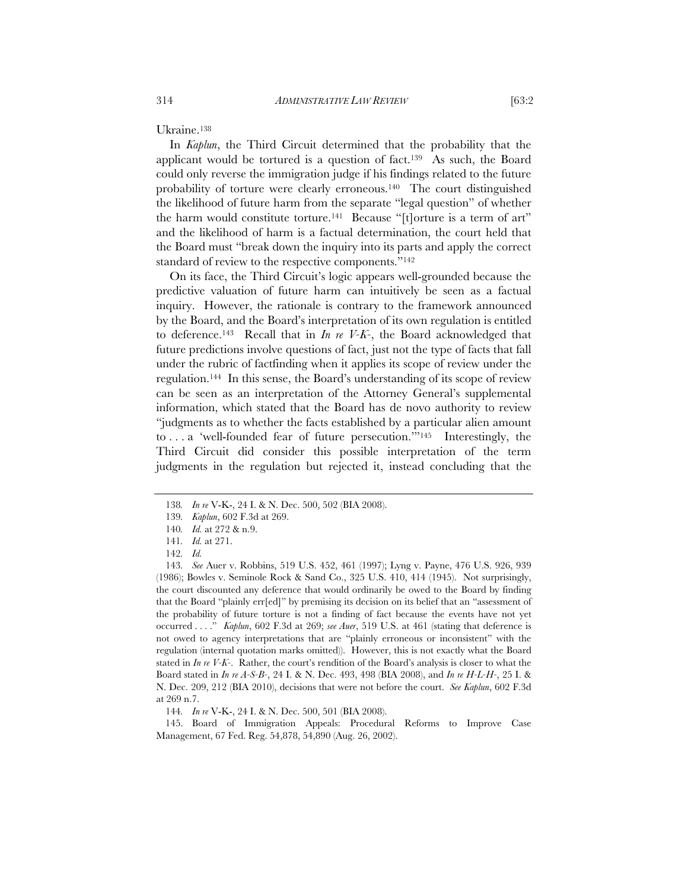Ukraine.138

In *Kaplun*, the Third Circuit determined that the probability that the applicant would be tortured is a question of fact.139 As such, the Board could only reverse the immigration judge if his findings related to the future probability of torture were clearly erroneous.140 The court distinguished the likelihood of future harm from the separate "legal question" of whether the harm would constitute torture.141 Because "[t]orture is a term of art" and the likelihood of harm is a factual determination, the court held that the Board must "break down the inquiry into its parts and apply the correct standard of review to the respective components."142

On its face, the Third Circuit's logic appears well-grounded because the predictive valuation of future harm can intuitively be seen as a factual inquiry. However, the rationale is contrary to the framework announced by the Board, and the Board's interpretation of its own regulation is entitled to deference.143 Recall that in *In re V-K-*, the Board acknowledged that future predictions involve questions of fact, just not the type of facts that fall under the rubric of factfinding when it applies its scope of review under the regulation.144 In this sense, the Board's understanding of its scope of review can be seen as an interpretation of the Attorney General's supplemental information, which stated that the Board has de novo authority to review "judgments as to whether the facts established by a particular alien amount to . . . a 'well-founded fear of future persecution.'"145 Interestingly, the Third Circuit did consider this possible interpretation of the term judgments in the regulation but rejected it, instead concluding that the

144*. In re* V-K-, 24 I. & N. Dec. 500, 501 (BIA 2008).

 145. Board of Immigration Appeals: Procedural Reforms to Improve Case Management, 67 Fed. Reg. 54,878, 54,890 (Aug. 26, 2002).

<sup>138</sup>*. In re* V-K-, 24 I. & N. Dec. 500, 502 (BIA 2008).

<sup>139</sup>*. Kaplun*, 602 F.3d at 269.

<sup>140</sup>*. Id.* at 272 & n.9.

<sup>141</sup>*. Id.* at 271.

<sup>142</sup>*. Id.*

<sup>143</sup>*. See* Auer v. Robbins, 519 U.S. 452, 461 (1997); Lyng v. Payne, 476 U.S. 926, 939 (1986); Bowles v. Seminole Rock & Sand Co., 325 U.S. 410, 414 (1945). Not surprisingly, the court discounted any deference that would ordinarily be owed to the Board by finding that the Board "plainly err[ed]" by premising its decision on its belief that an "assessment of the probability of future torture is not a finding of fact because the events have not yet occurred . . . ." *Kaplun*, 602 F.3d at 269; *see Auer*, 519 U.S. at 461 (stating that deference is not owed to agency interpretations that are "plainly erroneous or inconsistent" with the regulation (internal quotation marks omitted)). However, this is not exactly what the Board stated in *In re V-K-*. Rather, the court's rendition of the Board's analysis is closer to what the Board stated in *In re A-S-B-*, 24 I. & N. Dec. 493, 498 (BIA 2008), and *In re H-L-H-*, 25 I. & N. Dec. 209, 212 (BIA 2010), decisions that were not before the court. *See Kaplun*, 602 F.3d at 269 n.7.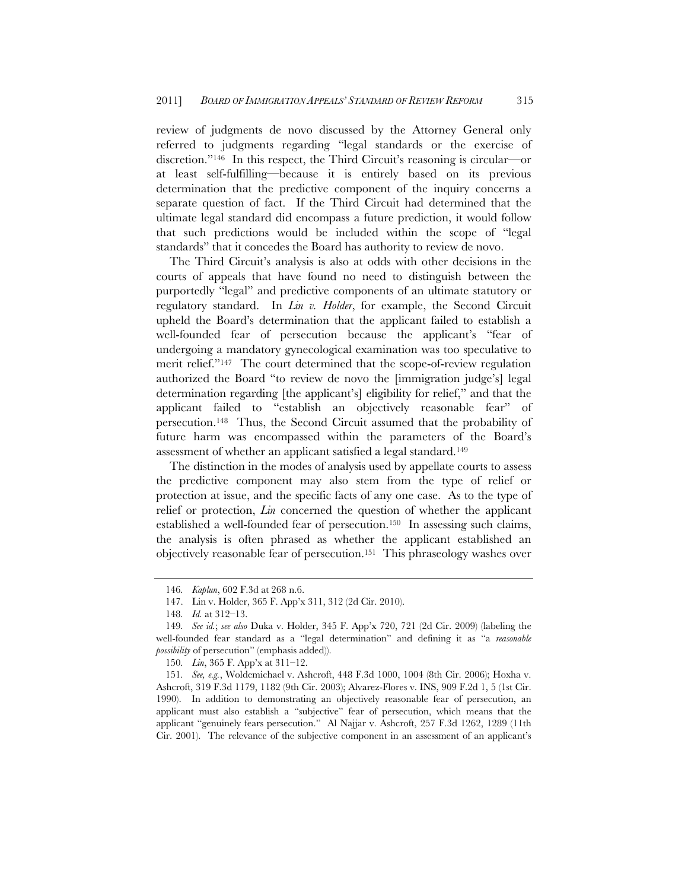review of judgments de novo discussed by the Attorney General only referred to judgments regarding "legal standards or the exercise of discretion."146 In this respect, the Third Circuit's reasoning is circular—or at least self-fulfilling—because it is entirely based on its previous determination that the predictive component of the inquiry concerns a separate question of fact. If the Third Circuit had determined that the ultimate legal standard did encompass a future prediction, it would follow that such predictions would be included within the scope of "legal standards" that it concedes the Board has authority to review de novo.

The Third Circuit's analysis is also at odds with other decisions in the courts of appeals that have found no need to distinguish between the purportedly "legal" and predictive components of an ultimate statutory or regulatory standard. In *Lin v. Holder*, for example, the Second Circuit upheld the Board's determination that the applicant failed to establish a well-founded fear of persecution because the applicant's "fear of undergoing a mandatory gynecological examination was too speculative to merit relief."147 The court determined that the scope-of-review regulation authorized the Board "to review de novo the [immigration judge's] legal determination regarding [the applicant's] eligibility for relief," and that the applicant failed to "establish an objectively reasonable fear" of persecution.148 Thus, the Second Circuit assumed that the probability of future harm was encompassed within the parameters of the Board's assessment of whether an applicant satisfied a legal standard.149

The distinction in the modes of analysis used by appellate courts to assess the predictive component may also stem from the type of relief or protection at issue, and the specific facts of any one case. As to the type of relief or protection, *Lin* concerned the question of whether the applicant established a well-founded fear of persecution.150 In assessing such claims, the analysis is often phrased as whether the applicant established an objectively reasonable fear of persecution.151 This phraseology washes over

<sup>146</sup>*. Kaplun*, 602 F.3d at 268 n.6.

<sup>147.</sup> Lin v. Holder, 365 F. App'x 311, 312 (2d Cir. 2010).

<sup>148</sup>*. Id.* at 312–13.

<sup>149</sup>*. See id.*; *see also* Duka v. Holder, 345 F. App'x 720, 721 (2d Cir. 2009) (labeling the well-founded fear standard as a "legal determination" and defining it as "a *reasonable possibility* of persecution" (emphasis added)).

<sup>150</sup>*. Lin*, 365 F. App'x at 311–12.

<sup>151</sup>*. See, e.g.*, Woldemichael v. Ashcroft, 448 F.3d 1000, 1004 (8th Cir. 2006); Hoxha v. Ashcroft, 319 F.3d 1179, 1182 (9th Cir. 2003); Alvarez-Flores v. INS, 909 F.2d 1, 5 (1st Cir. 1990). In addition to demonstrating an objectively reasonable fear of persecution, an applicant must also establish a "subjective" fear of persecution, which means that the applicant "genuinely fears persecution." Al Najjar v. Ashcroft, 257 F.3d 1262, 1289 (11th Cir. 2001). The relevance of the subjective component in an assessment of an applicant's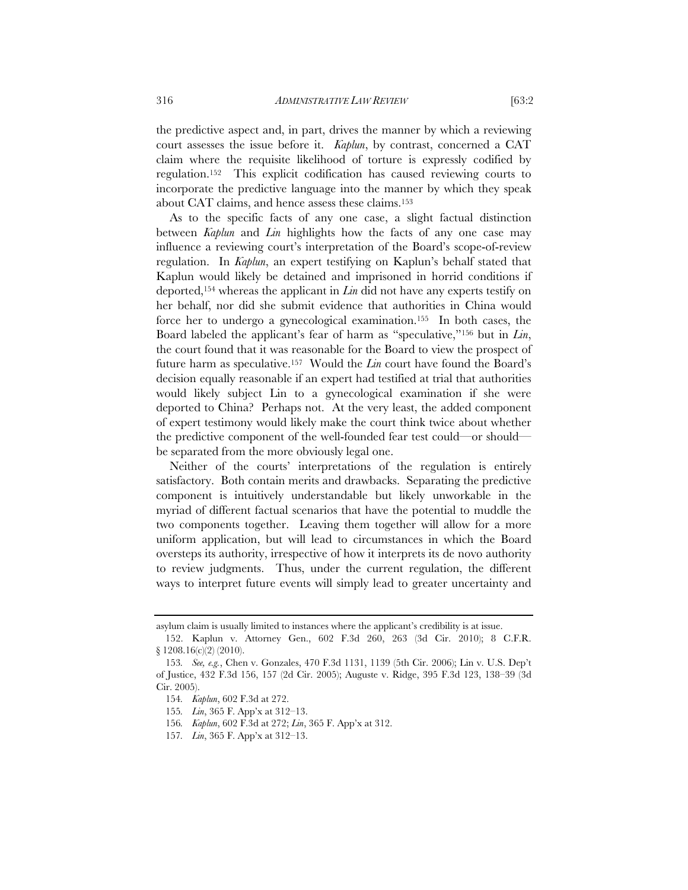the predictive aspect and, in part, drives the manner by which a reviewing court assesses the issue before it. *Kaplun*, by contrast, concerned a CAT claim where the requisite likelihood of torture is expressly codified by regulation.152 This explicit codification has caused reviewing courts to incorporate the predictive language into the manner by which they speak about CAT claims, and hence assess these claims.153

As to the specific facts of any one case, a slight factual distinction between *Kaplun* and *Lin* highlights how the facts of any one case may influence a reviewing court's interpretation of the Board's scope-of-review regulation. In *Kaplun*, an expert testifying on Kaplun's behalf stated that Kaplun would likely be detained and imprisoned in horrid conditions if deported,154 whereas the applicant in *Lin* did not have any experts testify on her behalf, nor did she submit evidence that authorities in China would force her to undergo a gynecological examination.155 In both cases, the Board labeled the applicant's fear of harm as "speculative,"156 but in *Lin*, the court found that it was reasonable for the Board to view the prospect of future harm as speculative.157 Would the *Lin* court have found the Board's decision equally reasonable if an expert had testified at trial that authorities would likely subject Lin to a gynecological examination if she were deported to China? Perhaps not. At the very least, the added component of expert testimony would likely make the court think twice about whether the predictive component of the well-founded fear test could—or should be separated from the more obviously legal one.

Neither of the courts' interpretations of the regulation is entirely satisfactory. Both contain merits and drawbacks. Separating the predictive component is intuitively understandable but likely unworkable in the myriad of different factual scenarios that have the potential to muddle the two components together. Leaving them together will allow for a more uniform application, but will lead to circumstances in which the Board oversteps its authority, irrespective of how it interprets its de novo authority to review judgments. Thus, under the current regulation, the different ways to interpret future events will simply lead to greater uncertainty and

asylum claim is usually limited to instances where the applicant's credibility is at issue.

 <sup>152.</sup> Kaplun v. Attorney Gen., 602 F.3d 260, 263 (3d Cir. 2010); 8 C.F.R. § 1208.16(c)(2) (2010).

<sup>153</sup>*. See, e.g.*, Chen v. Gonzales, 470 F.3d 1131, 1139 (5th Cir. 2006); Lin v. U.S. Dep't of Justice, 432 F.3d 156, 157 (2d Cir. 2005); Auguste v. Ridge, 395 F.3d 123, 138–39 (3d Cir. 2005).

<sup>154</sup>*. Kaplun*, 602 F.3d at 272.

<sup>155</sup>*. Lin*, 365 F. App'x at 312–13.

<sup>156</sup>*. Kaplun*, 602 F.3d at 272; *Lin*, 365 F. App'x at 312.

<sup>157</sup>*. Lin*, 365 F. App'x at 312–13.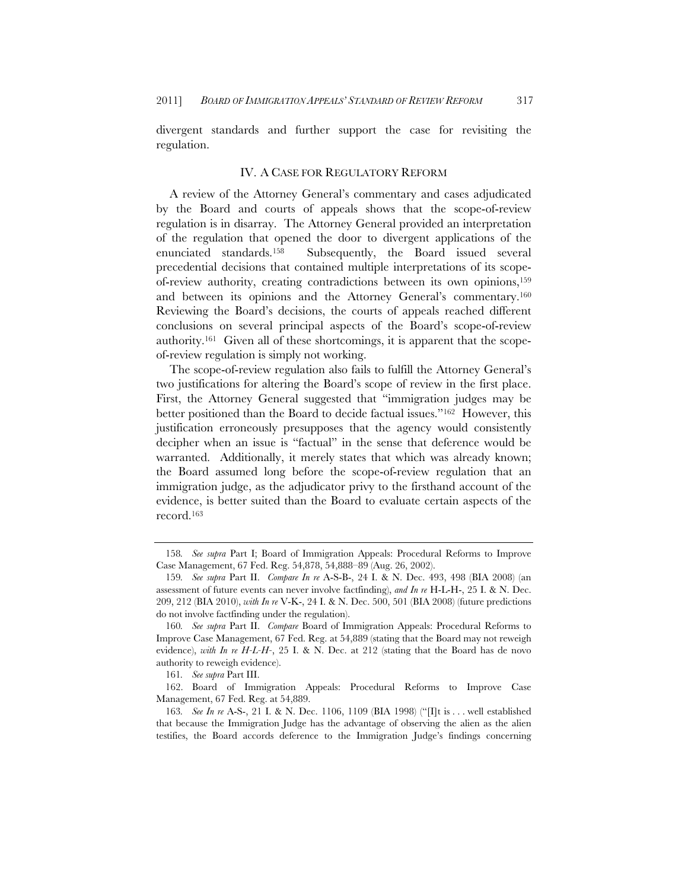divergent standards and further support the case for revisiting the regulation.

# IV. A CASE FOR REGULATORY REFORM

A review of the Attorney General's commentary and cases adjudicated by the Board and courts of appeals shows that the scope-of-review regulation is in disarray. The Attorney General provided an interpretation of the regulation that opened the door to divergent applications of the enunciated standards.158 Subsequently, the Board issued several precedential decisions that contained multiple interpretations of its scopeof-review authority, creating contradictions between its own opinions,159 and between its opinions and the Attorney General's commentary.160 Reviewing the Board's decisions, the courts of appeals reached different conclusions on several principal aspects of the Board's scope-of-review authority.161 Given all of these shortcomings, it is apparent that the scopeof-review regulation is simply not working.

The scope-of-review regulation also fails to fulfill the Attorney General's two justifications for altering the Board's scope of review in the first place. First, the Attorney General suggested that "immigration judges may be better positioned than the Board to decide factual issues."162 However, this justification erroneously presupposes that the agency would consistently decipher when an issue is "factual" in the sense that deference would be warranted. Additionally, it merely states that which was already known; the Board assumed long before the scope-of-review regulation that an immigration judge, as the adjudicator privy to the firsthand account of the evidence, is better suited than the Board to evaluate certain aspects of the record.163

<sup>158</sup>*. See supra* Part I; Board of Immigration Appeals: Procedural Reforms to Improve Case Management, 67 Fed. Reg. 54,878, 54,888–89 (Aug. 26, 2002).

<sup>159</sup>*. See supra* Part II. *Compare In re* A-S-B-, 24 I. & N. Dec. 493, 498 (BIA 2008) (an assessment of future events can never involve factfinding), *and In re* H-L-H-, 25 I. & N. Dec. 209, 212 (BIA 2010), *with In re* V-K-, 24 I. & N. Dec. 500, 501 (BIA 2008) (future predictions do not involve factfinding under the regulation).

<sup>160</sup>*. See supra* Part II. *Compare* Board of Immigration Appeals: Procedural Reforms to Improve Case Management, 67 Fed. Reg. at 54,889 (stating that the Board may not reweigh evidence), *with In re H-L-H-*, 25 I. & N. Dec. at 212 (stating that the Board has de novo authority to reweigh evidence).

<sup>161</sup>*. See supra* Part III.

 <sup>162.</sup> Board of Immigration Appeals: Procedural Reforms to Improve Case Management, 67 Fed. Reg. at 54,889.

<sup>163</sup>*. See In re* A-S-, 21 I. & N. Dec. 1106, 1109 (BIA 1998) ("[I]t is . . . well established that because the Immigration Judge has the advantage of observing the alien as the alien testifies, the Board accords deference to the Immigration Judge's findings concerning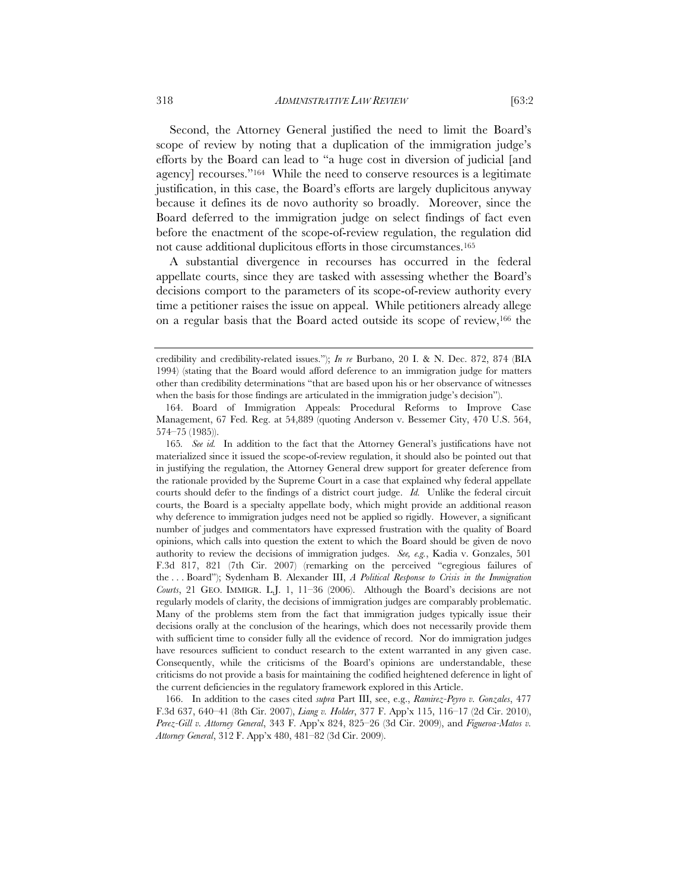Second, the Attorney General justified the need to limit the Board's scope of review by noting that a duplication of the immigration judge's efforts by the Board can lead to "a huge cost in diversion of judicial [and agency] recourses."164 While the need to conserve resources is a legitimate justification, in this case, the Board's efforts are largely duplicitous anyway because it defines its de novo authority so broadly. Moreover, since the Board deferred to the immigration judge on select findings of fact even before the enactment of the scope-of-review regulation, the regulation did not cause additional duplicitous efforts in those circumstances.165

A substantial divergence in recourses has occurred in the federal appellate courts, since they are tasked with assessing whether the Board's decisions comport to the parameters of its scope-of-review authority every time a petitioner raises the issue on appeal. While petitioners already allege on a regular basis that the Board acted outside its scope of review,166 the

credibility and credibility-related issues."); *In re* Burbano, 20 I. & N. Dec. 872, 874 (BIA 1994) (stating that the Board would afford deference to an immigration judge for matters other than credibility determinations "that are based upon his or her observance of witnesses when the basis for those findings are articulated in the immigration judge's decision").

 <sup>164.</sup> Board of Immigration Appeals: Procedural Reforms to Improve Case Management, 67 Fed. Reg. at 54,889 (quoting Anderson v. Bessemer City, 470 U.S. 564, 574–75 (1985)).

<sup>165</sup>*. See id.* In addition to the fact that the Attorney General's justifications have not materialized since it issued the scope-of-review regulation, it should also be pointed out that in justifying the regulation, the Attorney General drew support for greater deference from the rationale provided by the Supreme Court in a case that explained why federal appellate courts should defer to the findings of a district court judge. *Id.* Unlike the federal circuit courts, the Board is a specialty appellate body, which might provide an additional reason why deference to immigration judges need not be applied so rigidly. However, a significant number of judges and commentators have expressed frustration with the quality of Board opinions, which calls into question the extent to which the Board should be given de novo authority to review the decisions of immigration judges. *See, e.g.*, Kadia v. Gonzales, 501 F.3d 817, 821 (7th Cir. 2007) (remarking on the perceived "egregious failures of the . . . Board"); Sydenham B. Alexander III, *A Political Response to Crisis in the Immigration Courts*, 21 GEO. IMMIGR. L.J. 1, 11–36 (2006). Although the Board's decisions are not regularly models of clarity, the decisions of immigration judges are comparably problematic. Many of the problems stem from the fact that immigration judges typically issue their decisions orally at the conclusion of the hearings, which does not necessarily provide them with sufficient time to consider fully all the evidence of record. Nor do immigration judges have resources sufficient to conduct research to the extent warranted in any given case. Consequently, while the criticisms of the Board's opinions are understandable, these criticisms do not provide a basis for maintaining the codified heightened deference in light of the current deficiencies in the regulatory framework explored in this Article.

 <sup>166.</sup> In addition to the cases cited *supra* Part III, see, e.g., *Ramirez-Peyro v. Gonzales*, 477 F.3d 637, 640–41 (8th Cir. 2007), *Liang v. Holder*, 377 F. App'x 115, 116–17 (2d Cir. 2010), *Perez-Gill v. Attorney General*, 343 F. App'x 824, 825–26 (3d Cir. 2009), and *Figueroa-Matos v. Attorney General*, 312 F. App'x 480, 481–82 (3d Cir. 2009).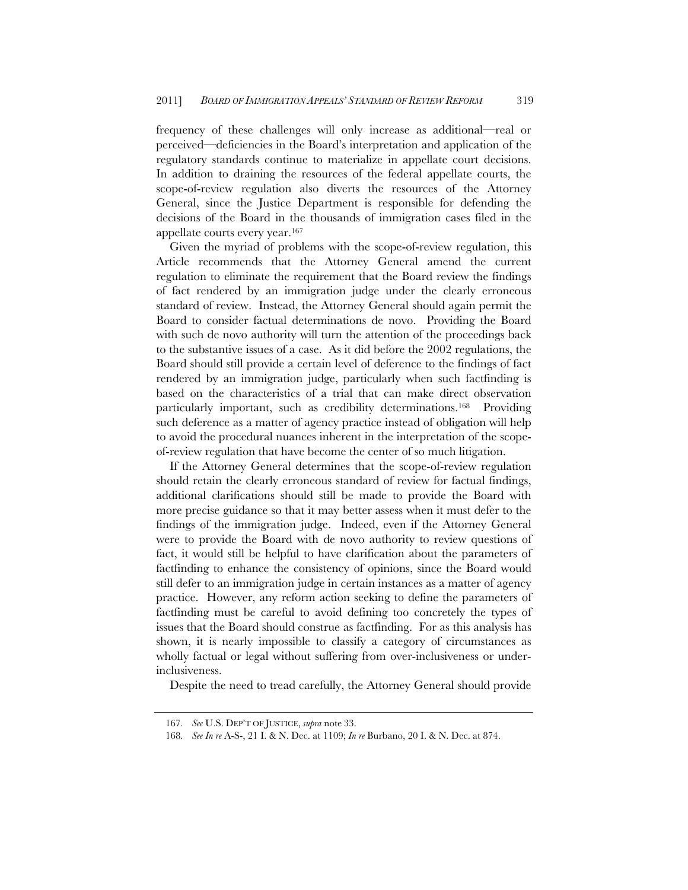frequency of these challenges will only increase as additional—real or perceived—deficiencies in the Board's interpretation and application of the regulatory standards continue to materialize in appellate court decisions. In addition to draining the resources of the federal appellate courts, the scope-of-review regulation also diverts the resources of the Attorney General, since the Justice Department is responsible for defending the decisions of the Board in the thousands of immigration cases filed in the appellate courts every year.167

Given the myriad of problems with the scope-of-review regulation, this Article recommends that the Attorney General amend the current regulation to eliminate the requirement that the Board review the findings of fact rendered by an immigration judge under the clearly erroneous standard of review. Instead, the Attorney General should again permit the Board to consider factual determinations de novo. Providing the Board with such de novo authority will turn the attention of the proceedings back to the substantive issues of a case. As it did before the 2002 regulations, the Board should still provide a certain level of deference to the findings of fact rendered by an immigration judge, particularly when such factfinding is based on the characteristics of a trial that can make direct observation particularly important, such as credibility determinations.<sup>168</sup> Providing such deference as a matter of agency practice instead of obligation will help to avoid the procedural nuances inherent in the interpretation of the scopeof-review regulation that have become the center of so much litigation.

If the Attorney General determines that the scope-of-review regulation should retain the clearly erroneous standard of review for factual findings, additional clarifications should still be made to provide the Board with more precise guidance so that it may better assess when it must defer to the findings of the immigration judge. Indeed, even if the Attorney General were to provide the Board with de novo authority to review questions of fact, it would still be helpful to have clarification about the parameters of factfinding to enhance the consistency of opinions, since the Board would still defer to an immigration judge in certain instances as a matter of agency practice. However, any reform action seeking to define the parameters of factfinding must be careful to avoid defining too concretely the types of issues that the Board should construe as factfinding. For as this analysis has shown, it is nearly impossible to classify a category of circumstances as wholly factual or legal without suffering from over-inclusiveness or underinclusiveness.

Despite the need to tread carefully, the Attorney General should provide

<sup>167</sup>*. See* U.S. DEP'T OF JUSTICE, *supra* note 33.

<sup>168</sup>*. See In re* A-S-, 21 I. & N. Dec. at 1109; *In re* Burbano, 20 I. & N. Dec. at 874.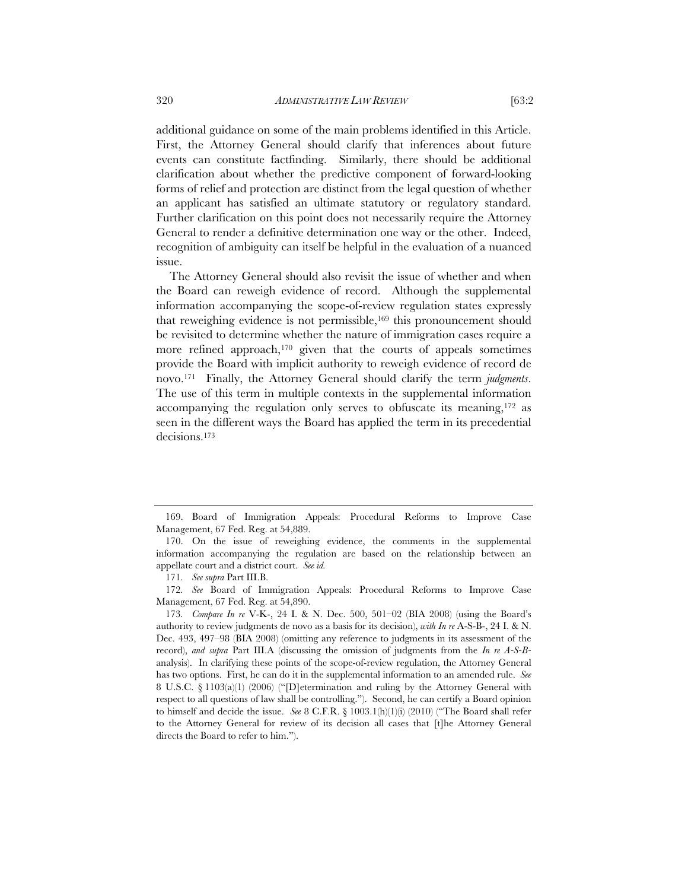additional guidance on some of the main problems identified in this Article. First, the Attorney General should clarify that inferences about future events can constitute factfinding. Similarly, there should be additional clarification about whether the predictive component of forward-looking forms of relief and protection are distinct from the legal question of whether an applicant has satisfied an ultimate statutory or regulatory standard. Further clarification on this point does not necessarily require the Attorney General to render a definitive determination one way or the other. Indeed, recognition of ambiguity can itself be helpful in the evaluation of a nuanced issue.

The Attorney General should also revisit the issue of whether and when the Board can reweigh evidence of record. Although the supplemental information accompanying the scope-of-review regulation states expressly that reweighing evidence is not permissible,<sup>169</sup> this pronouncement should be revisited to determine whether the nature of immigration cases require a more refined approach,<sup>170</sup> given that the courts of appeals sometimes provide the Board with implicit authority to reweigh evidence of record de novo.171 Finally, the Attorney General should clarify the term *judgments*. The use of this term in multiple contexts in the supplemental information accompanying the regulation only serves to obfuscate its meaning,172 as seen in the different ways the Board has applied the term in its precedential decisions.173

 <sup>169.</sup> Board of Immigration Appeals: Procedural Reforms to Improve Case Management, 67 Fed. Reg. at 54,889.

 <sup>170.</sup> On the issue of reweighing evidence, the comments in the supplemental information accompanying the regulation are based on the relationship between an appellate court and a district court. *See id.* 

<sup>171</sup>*. See supra* Part III.B.

<sup>172</sup>*. See* Board of Immigration Appeals: Procedural Reforms to Improve Case Management, 67 Fed. Reg. at 54,890.

<sup>173</sup>*. Compare In re* V-K-, 24 I. & N. Dec. 500, 501–02 (BIA 2008) (using the Board's authority to review judgments de novo as a basis for its decision), *with In re* A-S-B-, 24 I. & N. Dec. 493, 497–98 (BIA 2008) (omitting any reference to judgments in its assessment of the record), *and supra* Part III.A (discussing the omission of judgments from the *In re A-S-B*analysis). In clarifying these points of the scope-of-review regulation, the Attorney General has two options. First, he can do it in the supplemental information to an amended rule. *See* 8 U.S.C. § 1103(a)(1) (2006) ("[D]etermination and ruling by the Attorney General with respect to all questions of law shall be controlling."). Second, he can certify a Board opinion to himself and decide the issue. *See* 8 C.F.R. § 1003.1(h)(1)(i) (2010) ("The Board shall refer to the Attorney General for review of its decision all cases that [t]he Attorney General directs the Board to refer to him.").